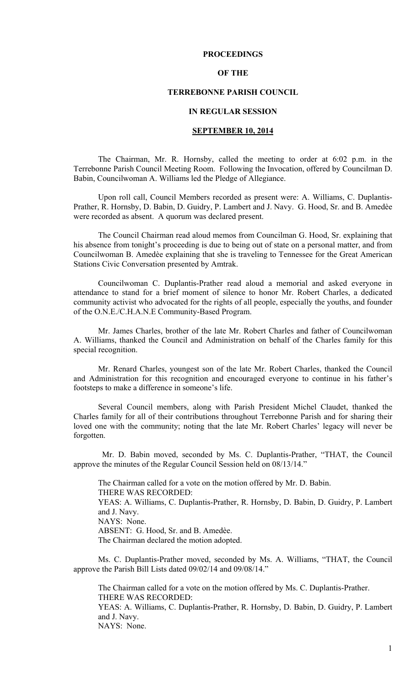## **PROCEEDINGS**

## **OF THE**

## **TERREBONNE PARISH COUNCIL**

### **IN REGULAR SESSION**

### **SEPTEMBER 10, 2014**

 The Chairman, Mr. R. Hornsby, called the meeting to order at 6:02 p.m. in the Terrebonne Parish Council Meeting Room. Following the Invocation, offered by Councilman D. Babin, Councilwoman A. Williams led the Pledge of Allegiance.

Upon roll call, Council Members recorded as present were: A. Williams, C. Duplantis-Prather, R. Hornsby, D. Babin, D. Guidry, P. Lambert and J. Navy. G. Hood, Sr. and B. Amedèe were recorded as absent. A quorum was declared present.

The Council Chairman read aloud memos from Councilman G. Hood, Sr. explaining that his absence from tonight's proceeding is due to being out of state on a personal matter, and from Councilwoman B. Amedѐe explaining that she is traveling to Tennessee for the Great American Stations Civic Conversation presented by Amtrak.

Councilwoman C. Duplantis-Prather read aloud a memorial and asked everyone in attendance to stand for a brief moment of silence to honor Mr. Robert Charles, a dedicated community activist who advocated for the rights of all people, especially the youths, and founder of the O.N.E./C.H.A.N.E Community-Based Program.

Mr. James Charles, brother of the late Mr. Robert Charles and father of Councilwoman A. Williams, thanked the Council and Administration on behalf of the Charles family for this special recognition.

Mr. Renard Charles, youngest son of the late Mr. Robert Charles, thanked the Council and Administration for this recognition and encouraged everyone to continue in his father's footsteps to make a difference in someone's life.

Several Council members, along with Parish President Michel Claudet, thanked the Charles family for all of their contributions throughout Terrebonne Parish and for sharing their loved one with the community; noting that the late Mr. Robert Charles' legacy will never be forgotten.

 Mr. D. Babin moved, seconded by Ms. C. Duplantis-Prather, "THAT, the Council approve the minutes of the Regular Council Session held on 08/13/14."

The Chairman called for a vote on the motion offered by Mr. D. Babin. THERE WAS RECORDED: YEAS: A. Williams, C. Duplantis-Prather, R. Hornsby, D. Babin, D. Guidry, P. Lambert and J. Navy. NAYS: None. ABSENT: G. Hood, Sr. and B. Amedèe. The Chairman declared the motion adopted.

Ms. C. Duplantis-Prather moved, seconded by Ms. A. Williams, "THAT, the Council approve the Parish Bill Lists dated 09/02/14 and 09/08/14."

The Chairman called for a vote on the motion offered by Ms. C. Duplantis-Prather. THERE WAS RECORDED: YEAS: A. Williams, C. Duplantis-Prather, R. Hornsby, D. Babin, D. Guidry, P. Lambert and J. Navy. NAYS: None.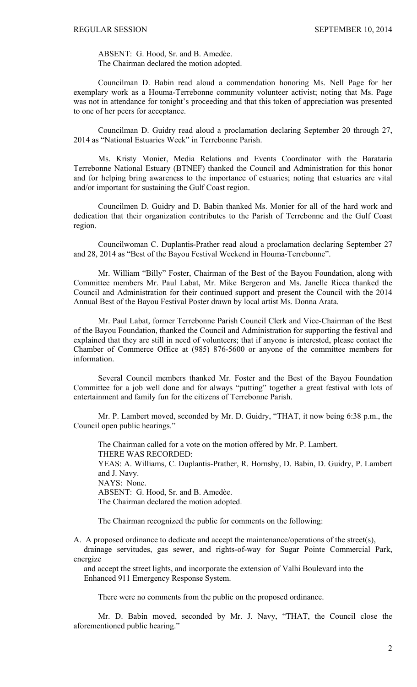ABSENT: G. Hood, Sr. and B. Amedèe. The Chairman declared the motion adopted.

Councilman D. Babin read aloud a commendation honoring Ms. Nell Page for her exemplary work as a Houma-Terrebonne community volunteer activist; noting that Ms. Page was not in attendance for tonight's proceeding and that this token of appreciation was presented to one of her peers for acceptance.

Councilman D. Guidry read aloud a proclamation declaring September 20 through 27, 2014 as "National Estuaries Week" in Terrebonne Parish.

Ms. Kristy Monier, Media Relations and Events Coordinator with the Barataria Terrebonne National Estuary (BTNEF) thanked the Council and Administration for this honor and for helping bring awareness to the importance of estuaries; noting that estuaries are vital and/or important for sustaining the Gulf Coast region.

Councilmen D. Guidry and D. Babin thanked Ms. Monier for all of the hard work and dedication that their organization contributes to the Parish of Terrebonne and the Gulf Coast region.

Councilwoman C. Duplantis-Prather read aloud a proclamation declaring September 27 and 28, 2014 as "Best of the Bayou Festival Weekend in Houma-Terrebonne".

Mr. William "Billy" Foster, Chairman of the Best of the Bayou Foundation, along with Committee members Mr. Paul Labat, Mr. Mike Bergeron and Ms. Janelle Ricca thanked the Council and Administration for their continued support and present the Council with the 2014 Annual Best of the Bayou Festival Poster drawn by local artist Ms. Donna Arata.

Mr. Paul Labat, former Terrebonne Parish Council Clerk and Vice-Chairman of the Best of the Bayou Foundation, thanked the Council and Administration for supporting the festival and explained that they are still in need of volunteers; that if anyone is interested, please contact the Chamber of Commerce Office at (985) 876-5600 or anyone of the committee members for information.

Several Council members thanked Mr. Foster and the Best of the Bayou Foundation Committee for a job well done and for always "putting" together a great festival with lots of entertainment and family fun for the citizens of Terrebonne Parish.

Mr. P. Lambert moved, seconded by Mr. D. Guidry, "THAT, it now being 6:38 p.m., the Council open public hearings."

 The Chairman called for a vote on the motion offered by Mr. P. Lambert. THERE WAS RECORDED: YEAS: A. Williams, C. Duplantis-Prather, R. Hornsby, D. Babin, D. Guidry, P. Lambert and J. Navy. NAYS: None. ABSENT: G. Hood, Sr. and B. Amedèe. The Chairman declared the motion adopted.

The Chairman recognized the public for comments on the following:

A. A proposed ordinance to dedicate and accept the maintenance/operations of the street(s), drainage servitudes, gas sewer, and rights-of-way for Sugar Pointe Commercial Park, energize

 and accept the street lights, and incorporate the extension of Valhi Boulevard into the Enhanced 911 Emergency Response System.

There were no comments from the public on the proposed ordinance.

 Mr. D. Babin moved, seconded by Mr. J. Navy, "THAT, the Council close the aforementioned public hearing."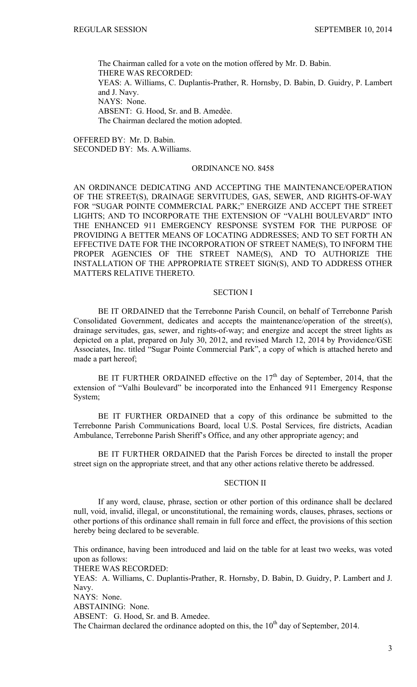The Chairman called for a vote on the motion offered by Mr. D. Babin. THERE WAS RECORDED: YEAS: A. Williams, C. Duplantis-Prather, R. Hornsby, D. Babin, D. Guidry, P. Lambert and J. Navy. NAYS: None. ABSENT: G. Hood, Sr. and B. Amedèe. The Chairman declared the motion adopted.

OFFERED BY: Mr. D. Babin. SECONDED BY: Ms. A.Williams.

# ORDINANCE NO. 8458

AN ORDINANCE DEDICATING AND ACCEPTING THE MAINTENANCE/OPERATION OF THE STREET(S), DRAINAGE SERVITUDES, GAS, SEWER, AND RIGHTS-OF-WAY FOR "SUGAR POINTE COMMERCIAL PARK;" ENERGIZE AND ACCEPT THE STREET LIGHTS; AND TO INCORPORATE THE EXTENSION OF "VALHI BOULEVARD" INTO THE ENHANCED 911 EMERGENCY RESPONSE SYSTEM FOR THE PURPOSE OF PROVIDING A BETTER MEANS OF LOCATING ADDRESSES; AND TO SET FORTH AN EFFECTIVE DATE FOR THE INCORPORATION OF STREET NAME(S), TO INFORM THE PROPER AGENCIES OF THE STREET NAME(S), AND TO AUTHORIZE THE INSTALLATION OF THE APPROPRIATE STREET SIGN(S), AND TO ADDRESS OTHER MATTERS RELATIVE THERETO.

## SECTION I

BE IT ORDAINED that the Terrebonne Parish Council, on behalf of Terrebonne Parish Consolidated Government, dedicates and accepts the maintenance/operation of the street(s), drainage servitudes, gas, sewer, and rights-of-way; and energize and accept the street lights as depicted on a plat, prepared on July 30, 2012, and revised March 12, 2014 by Providence/GSE Associates, Inc. titled "Sugar Pointe Commercial Park", a copy of which is attached hereto and made a part hereof;

BE IT FURTHER ORDAINED effective on the  $17<sup>th</sup>$  day of September, 2014, that the extension of "Valhi Boulevard" be incorporated into the Enhanced 911 Emergency Response System;

BE IT FURTHER ORDAINED that a copy of this ordinance be submitted to the Terrebonne Parish Communications Board, local U.S. Postal Services, fire districts, Acadian Ambulance, Terrebonne Parish Sheriff's Office, and any other appropriate agency; and

BE IT FURTHER ORDAINED that the Parish Forces be directed to install the proper street sign on the appropriate street, and that any other actions relative thereto be addressed.

### SECTION II

If any word, clause, phrase, section or other portion of this ordinance shall be declared null, void, invalid, illegal, or unconstitutional, the remaining words, clauses, phrases, sections or other portions of this ordinance shall remain in full force and effect, the provisions of this section hereby being declared to be severable.

This ordinance, having been introduced and laid on the table for at least two weeks, was voted upon as follows:

THERE WAS RECORDED:

YEAS: A. Williams, C. Duplantis-Prather, R. Hornsby, D. Babin, D. Guidry, P. Lambert and J. Navy.

NAYS: None.

ABSTAINING: None.

ABSENT: G. Hood, Sr. and B. Amedee.

The Chairman declared the ordinance adopted on this, the  $10<sup>th</sup>$  day of September, 2014.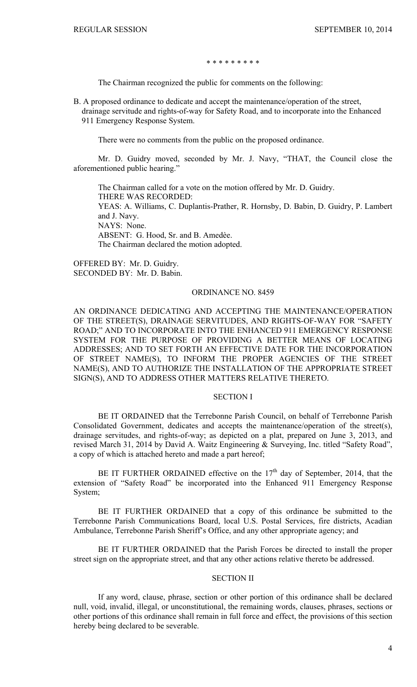### \* \* \* \* \* \* \* \* \*

The Chairman recognized the public for comments on the following:

B. A proposed ordinance to dedicate and accept the maintenance/operation of the street, drainage servitude and rights-of-way for Safety Road, and to incorporate into the Enhanced 911 Emergency Response System.

There were no comments from the public on the proposed ordinance.

 Mr. D. Guidry moved, seconded by Mr. J. Navy, "THAT, the Council close the aforementioned public hearing."

 The Chairman called for a vote on the motion offered by Mr. D. Guidry. THERE WAS RECORDED: YEAS: A. Williams, C. Duplantis-Prather, R. Hornsby, D. Babin, D. Guidry, P. Lambert and J. Navy. NAYS: None. ABSENT: G. Hood, Sr. and B. Amedèe. The Chairman declared the motion adopted.

OFFERED BY: Mr. D. Guidry. SECONDED BY: Mr. D. Babin.

## ORDINANCE NO. 8459

AN ORDINANCE DEDICATING AND ACCEPTING THE MAINTENANCE/OPERATION OF THE STREET(S), DRAINAGE SERVITUDES, AND RIGHTS-OF-WAY FOR "SAFETY ROAD;" AND TO INCORPORATE INTO THE ENHANCED 911 EMERGENCY RESPONSE SYSTEM FOR THE PURPOSE OF PROVIDING A BETTER MEANS OF LOCATING ADDRESSES; AND TO SET FORTH AN EFFECTIVE DATE FOR THE INCORPORATION OF STREET NAME(S), TO INFORM THE PROPER AGENCIES OF THE STREET NAME(S), AND TO AUTHORIZE THE INSTALLATION OF THE APPROPRIATE STREET SIGN(S), AND TO ADDRESS OTHER MATTERS RELATIVE THERETO.

### SECTION I

BE IT ORDAINED that the Terrebonne Parish Council, on behalf of Terrebonne Parish Consolidated Government, dedicates and accepts the maintenance/operation of the street(s), drainage servitudes, and rights-of-way; as depicted on a plat, prepared on June 3, 2013, and revised March 31, 2014 by David A. Waitz Engineering & Surveying, Inc. titled "Safety Road", a copy of which is attached hereto and made a part hereof;

BE IT FURTHER ORDAINED effective on the  $17<sup>th</sup>$  day of September, 2014, that the extension of "Safety Road" be incorporated into the Enhanced 911 Emergency Response System;

BE IT FURTHER ORDAINED that a copy of this ordinance be submitted to the Terrebonne Parish Communications Board, local U.S. Postal Services, fire districts, Acadian Ambulance, Terrebonne Parish Sheriff's Office, and any other appropriate agency; and

BE IT FURTHER ORDAINED that the Parish Forces be directed to install the proper street sign on the appropriate street, and that any other actions relative thereto be addressed.

### SECTION II

If any word, clause, phrase, section or other portion of this ordinance shall be declared null, void, invalid, illegal, or unconstitutional, the remaining words, clauses, phrases, sections or other portions of this ordinance shall remain in full force and effect, the provisions of this section hereby being declared to be severable.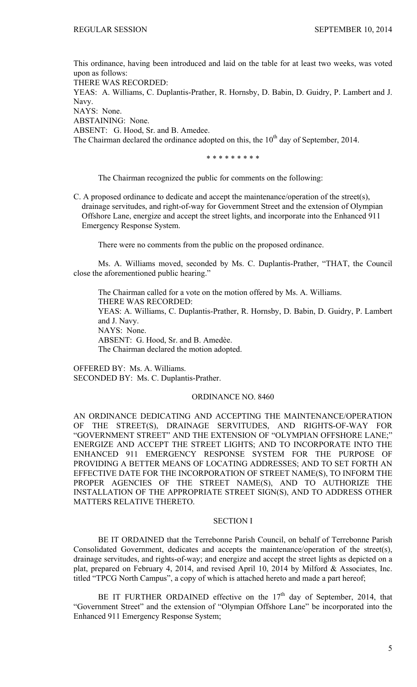This ordinance, having been introduced and laid on the table for at least two weeks, was voted upon as follows:

THERE WAS RECORDED:

YEAS: A. Williams, C. Duplantis-Prather, R. Hornsby, D. Babin, D. Guidry, P. Lambert and J. Navy.

NAYS: None.

ABSTAINING: None.

ABSENT: G. Hood, Sr. and B. Amedee.

The Chairman declared the ordinance adopted on this, the 10<sup>th</sup> day of September, 2014.

\* \* \* \* \* \* \* \* \*

The Chairman recognized the public for comments on the following:

C. A proposed ordinance to dedicate and accept the maintenance/operation of the street(s), drainage servitudes, and right-of-way for Government Street and the extension of Olympian Offshore Lane, energize and accept the street lights, and incorporate into the Enhanced 911 Emergency Response System.

There were no comments from the public on the proposed ordinance.

Ms. A. Williams moved, seconded by Ms. C. Duplantis-Prather, "THAT, the Council close the aforementioned public hearing."

 The Chairman called for a vote on the motion offered by Ms. A. Williams. THERE WAS RECORDED: YEAS: A. Williams, C. Duplantis-Prather, R. Hornsby, D. Babin, D. Guidry, P. Lambert and J. Navy. NAYS: None. ABSENT: G. Hood, Sr. and B. Amedèe. The Chairman declared the motion adopted.

OFFERED BY: Ms. A. Williams. SECONDED BY: Ms. C. Duplantis-Prather.

### ORDINANCE NO. 8460

AN ORDINANCE DEDICATING AND ACCEPTING THE MAINTENANCE/OPERATION OF THE STREET(S), DRAINAGE SERVITUDES, AND RIGHTS-OF-WAY FOR "GOVERNMENT STREET" AND THE EXTENSION OF "OLYMPIAN OFFSHORE LANE;" ENERGIZE AND ACCEPT THE STREET LIGHTS; AND TO INCORPORATE INTO THE ENHANCED 911 EMERGENCY RESPONSE SYSTEM FOR THE PURPOSE OF PROVIDING A BETTER MEANS OF LOCATING ADDRESSES; AND TO SET FORTH AN EFFECTIVE DATE FOR THE INCORPORATION OF STREET NAME(S), TO INFORM THE PROPER AGENCIES OF THE STREET NAME(S), AND TO AUTHORIZE THE INSTALLATION OF THE APPROPRIATE STREET SIGN(S), AND TO ADDRESS OTHER MATTERS RELATIVE THERETO.

### SECTION I

BE IT ORDAINED that the Terrebonne Parish Council, on behalf of Terrebonne Parish Consolidated Government, dedicates and accepts the maintenance/operation of the street(s), drainage servitudes, and rights-of-way; and energize and accept the street lights as depicted on a plat, prepared on February 4, 2014, and revised April 10, 2014 by Milford & Associates, Inc. titled "TPCG North Campus", a copy of which is attached hereto and made a part hereof;

BE IT FURTHER ORDAINED effective on the  $17<sup>th</sup>$  day of September, 2014, that "Government Street" and the extension of "Olympian Offshore Lane" be incorporated into the Enhanced 911 Emergency Response System;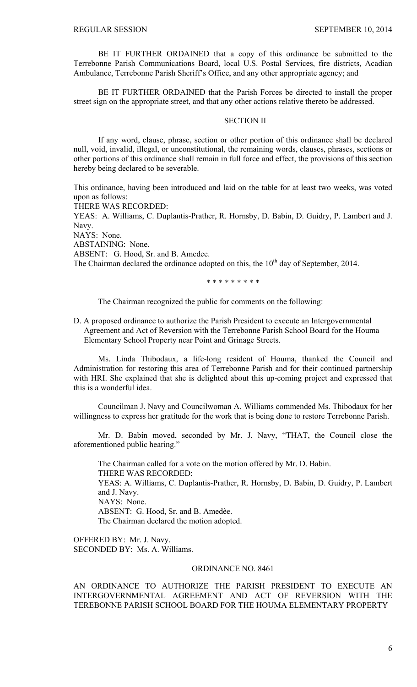BE IT FURTHER ORDAINED that a copy of this ordinance be submitted to the Terrebonne Parish Communications Board, local U.S. Postal Services, fire districts, Acadian Ambulance, Terrebonne Parish Sheriff's Office, and any other appropriate agency; and

BE IT FURTHER ORDAINED that the Parish Forces be directed to install the proper street sign on the appropriate street, and that any other actions relative thereto be addressed.

### SECTION II

If any word, clause, phrase, section or other portion of this ordinance shall be declared null, void, invalid, illegal, or unconstitutional, the remaining words, clauses, phrases, sections or other portions of this ordinance shall remain in full force and effect, the provisions of this section hereby being declared to be severable.

This ordinance, having been introduced and laid on the table for at least two weeks, was voted upon as follows:

THERE WAS RECORDED:

YEAS: A. Williams, C. Duplantis-Prather, R. Hornsby, D. Babin, D. Guidry, P. Lambert and J. Navy.

NAYS: None.

ABSTAINING: None.

ABSENT: G. Hood, Sr. and B. Amedee.

The Chairman declared the ordinance adopted on this, the  $10<sup>th</sup>$  day of September, 2014.

\* \* \* \* \* \* \* \* \*

The Chairman recognized the public for comments on the following:

D. A proposed ordinance to authorize the Parish President to execute an Intergovernmental Agreement and Act of Reversion with the Terrebonne Parish School Board for the Houma Elementary School Property near Point and Grinage Streets.

Ms. Linda Thibodaux, a life-long resident of Houma, thanked the Council and Administration for restoring this area of Terrebonne Parish and for their continued partnership with HRI. She explained that she is delighted about this up-coming project and expressed that this is a wonderful idea.

Councilman J. Navy and Councilwoman A. Williams commended Ms. Thibodaux for her willingness to express her gratitude for the work that is being done to restore Terrebonne Parish.

Mr. D. Babin moved, seconded by Mr. J. Navy, "THAT, the Council close the aforementioned public hearing."

 The Chairman called for a vote on the motion offered by Mr. D. Babin. THERE WAS RECORDED: YEAS: A. Williams, C. Duplantis-Prather, R. Hornsby, D. Babin, D. Guidry, P. Lambert and J. Navy. NAYS: None. ABSENT: G. Hood, Sr. and B. Amedèe. The Chairman declared the motion adopted.

OFFERED BY: Mr. J. Navy. SECONDED BY: Ms. A. Williams.

### ORDINANCE NO. 8461

AN ORDINANCE TO AUTHORIZE THE PARISH PRESIDENT TO EXECUTE AN INTERGOVERNMENTAL AGREEMENT AND ACT OF REVERSION WITH THE TEREBONNE PARISH SCHOOL BOARD FOR THE HOUMA ELEMENTARY PROPERTY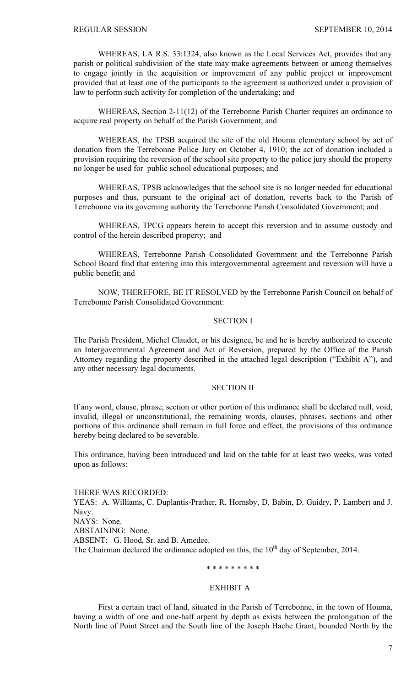WHEREAS, LA R.S. 33:1324, also known as the Local Services Act, provides that any parish or political subdivision of the state may make agreements between or among themselves to engage jointly in the acquisition or improvement of any public project or improvement provided that at least one of the participants to the agreement is authorized under a provision of law to perform such activity for completion of the undertaking; and

WHEREAS**,** Section 2-11(12) of the Terrebonne Parish Charter requires an ordinance to acquire real property on behalf of the Parish Government; and

WHEREAS, the TPSB acquired the site of the old Houma elementary school by act of donation from the Terrebonne Police Jury on October 4, 1910; the act of donation included a provision requiring the reversion of the school site property to the police jury should the property no longer be used for public school educational purposes; and

 WHEREAS, TPSB acknowledges that the school site is no longer needed for educational purposes and thus, pursuant to the original act of donation, reverts back to the Parish of Terrebonne via its governing authority the Terrebonne Parish Consolidated Government; and

WHEREAS, TPCG appears herein to accept this reversion and to assume custody and control of the herein described property; and

WHEREAS, Terrebonne Parish Consolidated Government and the Terrebonne Parish School Board find that entering into this intergovernmental agreement and reversion will have a public benefit; and

NOW, THEREFORE, BE IT RESOLVED by the Terrebonne Parish Council on behalf of Terrebonne Parish Consolidated Government:

### SECTION I

The Parish President, Michel Claudet, or his designee, be and he is hereby authorized to execute an Intergovernmental Agreement and Act of Reversion, prepared by the Office of the Parish Attorney regarding the property described in the attached legal description ("Exhibit A"), and any other necessary legal documents.

#### SECTION II

If any word, clause, phrase, section or other portion of this ordinance shall be declared null, void, invalid, illegal or unconstitutional, the remaining words, clauses, phrases, sections and other portions of this ordinance shall remain in full force and effect, the provisions of this ordinance hereby being declared to be severable.

This ordinance, having been introduced and laid on the table for at least two weeks, was voted upon as follows:

THERE WAS RECORDED: YEAS: A. Williams, C. Duplantis-Prather, R. Hornsby, D. Babin, D. Guidry, P. Lambert and J. Navy. NAYS: None. ABSTAINING: None. ABSENT: G. Hood, Sr. and B. Amedee. The Chairman declared the ordinance adopted on this, the  $10<sup>th</sup>$  day of September, 2014.

## \* \* \* \* \* \* \* \* \*

## EXHIBIT A

First a certain tract of land, situated in the Parish of Terrebonne, in the town of Houma, having a width of one and one-half arpent by depth as exists between the prolongation of the North line of Point Street and the South line of the Joseph Hache Grant; bounded North by the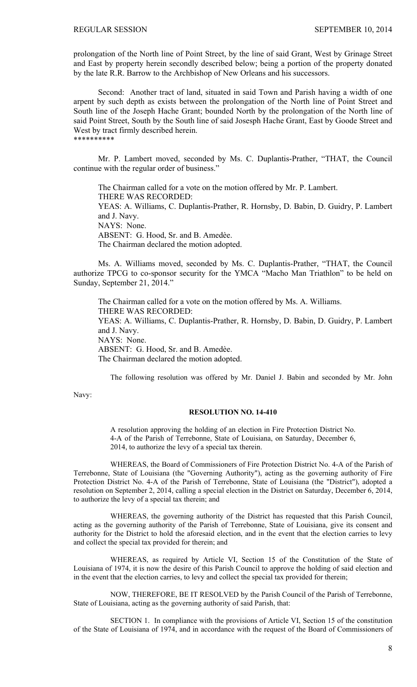prolongation of the North line of Point Street, by the line of said Grant, West by Grinage Street and East by property herein secondly described below; being a portion of the property donated by the late R.R. Barrow to the Archbishop of New Orleans and his successors.

 Second: Another tract of land, situated in said Town and Parish having a width of one arpent by such depth as exists between the prolongation of the North line of Point Street and South line of the Joseph Hache Grant; bounded North by the prolongation of the North line of said Point Street, South by the South line of said Josesph Hache Grant, East by Goode Street and West by tract firmly described herein. \*\*\*\*\*\*\*\*\*\*

 Mr. P. Lambert moved, seconded by Ms. C. Duplantis-Prather, "THAT, the Council continue with the regular order of business."

 The Chairman called for a vote on the motion offered by Mr. P. Lambert. THERE WAS RECORDED: YEAS: A. Williams, C. Duplantis-Prather, R. Hornsby, D. Babin, D. Guidry, P. Lambert and J. Navy. NAYS: None. ABSENT: G. Hood, Sr. and B. Amedèe. The Chairman declared the motion adopted.

Ms. A. Williams moved, seconded by Ms. C. Duplantis-Prather, "THAT, the Council authorize TPCG to co-sponsor security for the YMCA "Macho Man Triathlon" to be held on Sunday, September 21, 2014."

 The Chairman called for a vote on the motion offered by Ms. A. Williams. THERE WAS RECORDED: YEAS: A. Williams, C. Duplantis-Prather, R. Hornsby, D. Babin, D. Guidry, P. Lambert and J. Navy. NAYS: None. ABSENT: G. Hood, Sr. and B. Amedèe. The Chairman declared the motion adopted.

The following resolution was offered by Mr. Daniel J. Babin and seconded by Mr. John

Navy:

#### **RESOLUTION NO. 14-410**

A resolution approving the holding of an election in Fire Protection District No. 4-A of the Parish of Terrebonne, State of Louisiana, on Saturday, December 6, 2014, to authorize the levy of a special tax therein.

 WHEREAS, the Board of Commissioners of Fire Protection District No. 4-A of the Parish of Terrebonne, State of Louisiana (the "Governing Authority"), acting as the governing authority of Fire Protection District No. 4-A of the Parish of Terrebonne, State of Louisiana (the "District"), adopted a resolution on September 2, 2014, calling a special election in the District on Saturday, December 6, 2014, to authorize the levy of a special tax therein; and

 WHEREAS, the governing authority of the District has requested that this Parish Council, acting as the governing authority of the Parish of Terrebonne, State of Louisiana, give its consent and authority for the District to hold the aforesaid election, and in the event that the election carries to levy and collect the special tax provided for therein; and

 WHEREAS, as required by Article VI, Section 15 of the Constitution of the State of Louisiana of 1974, it is now the desire of this Parish Council to approve the holding of said election and in the event that the election carries, to levy and collect the special tax provided for therein;

 NOW, THEREFORE, BE IT RESOLVED by the Parish Council of the Parish of Terrebonne, State of Louisiana, acting as the governing authority of said Parish, that:

 SECTION 1. In compliance with the provisions of Article VI, Section 15 of the constitution of the State of Louisiana of 1974, and in accordance with the request of the Board of Commissioners of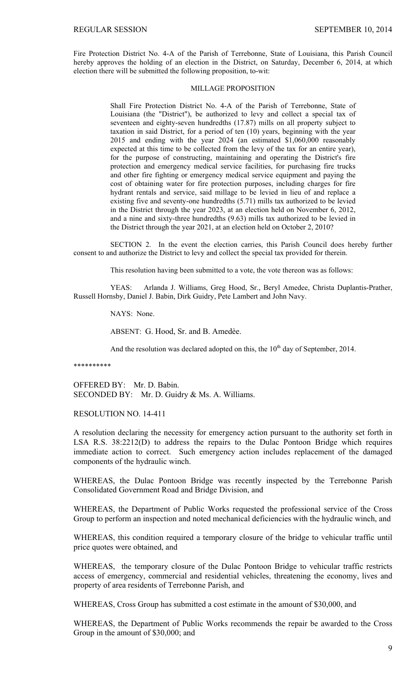Fire Protection District No. 4-A of the Parish of Terrebonne, State of Louisiana, this Parish Council hereby approves the holding of an election in the District, on Saturday, December 6, 2014, at which election there will be submitted the following proposition, to-wit:

### MILLAGE PROPOSITION

Shall Fire Protection District No. 4-A of the Parish of Terrebonne, State of Louisiana (the "District"), be authorized to levy and collect a special tax of seventeen and eighty-seven hundredths (17.87) mills on all property subject to taxation in said District, for a period of ten (10) years, beginning with the year 2015 and ending with the year 2024 (an estimated \$1,060,000 reasonably expected at this time to be collected from the levy of the tax for an entire year), for the purpose of constructing, maintaining and operating the District's fire protection and emergency medical service facilities, for purchasing fire trucks and other fire fighting or emergency medical service equipment and paying the cost of obtaining water for fire protection purposes, including charges for fire hydrant rentals and service, said millage to be levied in lieu of and replace a existing five and seventy-one hundredths (5.71) mills tax authorized to be levied in the District through the year 2023, at an election held on November 6, 2012, and a nine and sixty-three hundredths (9.63) mills tax authorized to be levied in the District through the year 2021, at an election held on October 2, 2010?

 SECTION 2. In the event the election carries, this Parish Council does hereby further consent to and authorize the District to levy and collect the special tax provided for therein.

This resolution having been submitted to a vote, the vote thereon was as follows:

 YEAS: Arlanda J. Williams, Greg Hood, Sr., Beryl Amedee, Christa Duplantis-Prather, Russell Hornsby, Daniel J. Babin, Dirk Guidry, Pete Lambert and John Navy.

NAYS: None.

ABSENT: G. Hood, Sr. and B. Amedèe.

And the resolution was declared adopted on this, the  $10<sup>th</sup>$  day of September, 2014.

\*\*\*\*\*\*\*\*\*\*

OFFERED BY: Mr. D. Babin. SECONDED BY: Mr. D. Guidry & Ms. A. Williams.

RESOLUTION NO. 14-411

A resolution declaring the necessity for emergency action pursuant to the authority set forth in LSA R.S. 38:2212(D) to address the repairs to the Dulac Pontoon Bridge which requires immediate action to correct. Such emergency action includes replacement of the damaged components of the hydraulic winch.

WHEREAS, the Dulac Pontoon Bridge was recently inspected by the Terrebonne Parish Consolidated Government Road and Bridge Division, and

WHEREAS, the Department of Public Works requested the professional service of the Cross Group to perform an inspection and noted mechanical deficiencies with the hydraulic winch, and

WHEREAS, this condition required a temporary closure of the bridge to vehicular traffic until price quotes were obtained, and

WHEREAS, the temporary closure of the Dulac Pontoon Bridge to vehicular traffic restricts access of emergency, commercial and residential vehicles, threatening the economy, lives and property of area residents of Terrebonne Parish, and

WHEREAS, Cross Group has submitted a cost estimate in the amount of \$30,000, and

WHEREAS, the Department of Public Works recommends the repair be awarded to the Cross Group in the amount of \$30,000; and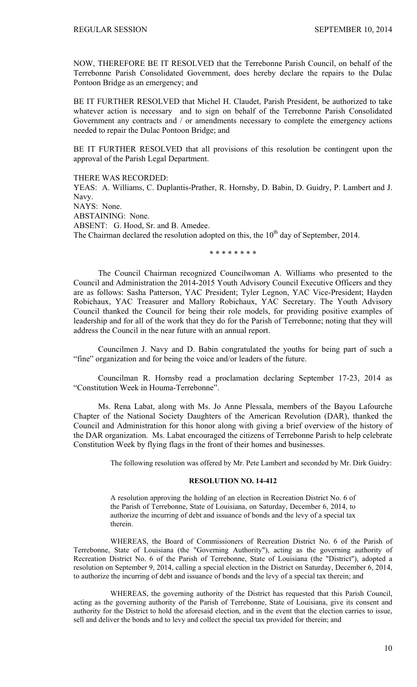NOW, THEREFORE BE IT RESOLVED that the Terrebonne Parish Council, on behalf of the Terrebonne Parish Consolidated Government, does hereby declare the repairs to the Dulac Pontoon Bridge as an emergency; and

BE IT FURTHER RESOLVED that Michel H. Claudet, Parish President, be authorized to take whatever action is necessary and to sign on behalf of the Terrebonne Parish Consolidated Government any contracts and / or amendments necessary to complete the emergency actions needed to repair the Dulac Pontoon Bridge; and

BE IT FURTHER RESOLVED that all provisions of this resolution be contingent upon the approval of the Parish Legal Department.

THERE WAS RECORDED:

YEAS: A. Williams, C. Duplantis-Prather, R. Hornsby, D. Babin, D. Guidry, P. Lambert and J. Navy. NAYS: None. ABSTAINING: None. ABSENT: G. Hood, Sr. and B. Amedee. The Chairman declared the resolution adopted on this, the  $10<sup>th</sup>$  day of September, 2014.

\* \* \* \* \* \* \* \*

The Council Chairman recognized Councilwoman A. Williams who presented to the Council and Administration the 2014-2015 Youth Advisory Council Executive Officers and they are as follows: Sasha Patterson, YAC President; Tyler Legnon, YAC Vice-President; Hayden Robichaux, YAC Treasurer and Mallory Robichaux, YAC Secretary. The Youth Advisory Council thanked the Council for being their role models, for providing positive examples of leadership and for all of the work that they do for the Parish of Terrebonne; noting that they will address the Council in the near future with an annual report.

Councilmen J. Navy and D. Babin congratulated the youths for being part of such a "fine" organization and for being the voice and/or leaders of the future.

Councilman R. Hornsby read a proclamation declaring September 17-23, 2014 as "Constitution Week in Houma-Terrebonne".

Ms. Rena Labat, along with Ms. Jo Anne Plessala, members of the Bayou Lafourche Chapter of the National Society Daughters of the American Revolution (DAR), thanked the Council and Administration for this honor along with giving a brief overview of the history of the DAR organization. Ms. Labat encouraged the citizens of Terrebonne Parish to help celebrate Constitution Week by flying flags in the front of their homes and businesses.

The following resolution was offered by Mr. Pete Lambert and seconded by Mr. Dirk Guidry:

### **RESOLUTION NO. 14-412**

A resolution approving the holding of an election in Recreation District No. 6 of the Parish of Terrebonne, State of Louisiana, on Saturday, December 6, 2014, to authorize the incurring of debt and issuance of bonds and the levy of a special tax therein.

 WHEREAS, the Board of Commissioners of Recreation District No. 6 of the Parish of Terrebonne, State of Louisiana (the "Governing Authority"), acting as the governing authority of Recreation District No. 6 of the Parish of Terrebonne, State of Louisiana (the "District"), adopted a resolution on September 9, 2014, calling a special election in the District on Saturday, December 6, 2014, to authorize the incurring of debt and issuance of bonds and the levy of a special tax therein; and

 WHEREAS, the governing authority of the District has requested that this Parish Council, acting as the governing authority of the Parish of Terrebonne, State of Louisiana, give its consent and authority for the District to hold the aforesaid election, and in the event that the election carries to issue, sell and deliver the bonds and to levy and collect the special tax provided for therein; and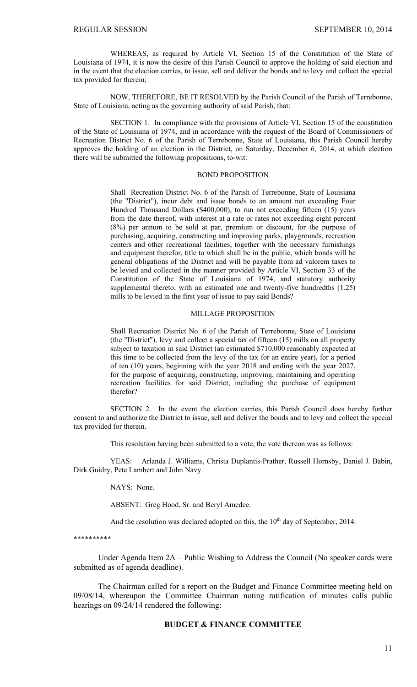WHEREAS, as required by Article VI, Section 15 of the Constitution of the State of Louisiana of 1974, it is now the desire of this Parish Council to approve the holding of said election and in the event that the election carries, to issue, sell and deliver the bonds and to levy and collect the special tax provided for therein;

 NOW, THEREFORE, BE IT RESOLVED by the Parish Council of the Parish of Terrebonne, State of Louisiana, acting as the governing authority of said Parish, that:

 SECTION 1. In compliance with the provisions of Article VI, Section 15 of the constitution of the State of Louisiana of 1974, and in accordance with the request of the Board of Commissioners of Recreation District No. 6 of the Parish of Terrebonne, State of Louisiana, this Parish Council hereby approves the holding of an election in the District, on Saturday, December 6, 2014, at which election there will be submitted the following propositions, to-wit:

### BOND PROPOSITION

Shall Recreation District No. 6 of the Parish of Terrebonne, State of Louisiana (the "District"), incur debt and issue bonds to an amount not exceeding Four Hundred Thousand Dollars (\$400,000), to run not exceeding fifteen (15) years from the date thereof, with interest at a rate or rates not exceeding eight percent (8%) per annum to be sold at par, premium or discount, for the purpose of purchasing, acquiring, constructing and improving parks, playgrounds, recreation centers and other recreational facilities, together with the necessary furnishings and equipment therefor, title to which shall be in the public, which bonds will be general obligations of the District and will be payable from ad valorem taxes to be levied and collected in the manner provided by Article VI, Section 33 of the Constitution of the State of Louisiana of 1974, and statutory authority supplemental thereto, with an estimated one and twenty-five hundredths  $(1.25)$ mills to be levied in the first year of issue to pay said Bonds?

#### MILLAGE PROPOSITION

Shall Recreation District No. 6 of the Parish of Terrebonne, State of Louisiana (the "District"), levy and collect a special tax of fifteen (15) mills on all property subject to taxation in said District (an estimated \$710,000 reasonably expected at this time to be collected from the levy of the tax for an entire year), for a period of ten (10) years, beginning with the year 2018 and ending with the year 2027, for the purpose of acquiring, constructing, improving, maintaining and operating recreation facilities for said District, including the purchase of equipment therefor?

 SECTION 2. In the event the election carries, this Parish Council does hereby further consent to and authorize the District to issue, sell and deliver the bonds and to levy and collect the special tax provided for therein.

This resolution having been submitted to a vote, the vote thereon was as follows:

 YEAS: Arlanda J. Williams, Christa Duplantis-Prather, Russell Hornsby, Daniel J. Babin, Dirk Guidry, Pete Lambert and John Navy.

NAYS: None.

ABSENT: Greg Hood, Sr. and Beryl Amedee.

And the resolution was declared adopted on this, the  $10<sup>th</sup>$  day of September, 2014.

\*\*\*\*\*\*\*\*\*\*

 Under Agenda Item 2A – Public Wishing to Address the Council (No speaker cards were submitted as of agenda deadline).

 The Chairman called for a report on the Budget and Finance Committee meeting held on 09/08/14, whereupon the Committee Chairman noting ratification of minutes calls public hearings on 09/24/14 rendered the following:

### **BUDGET & FINANCE COMMITTEE**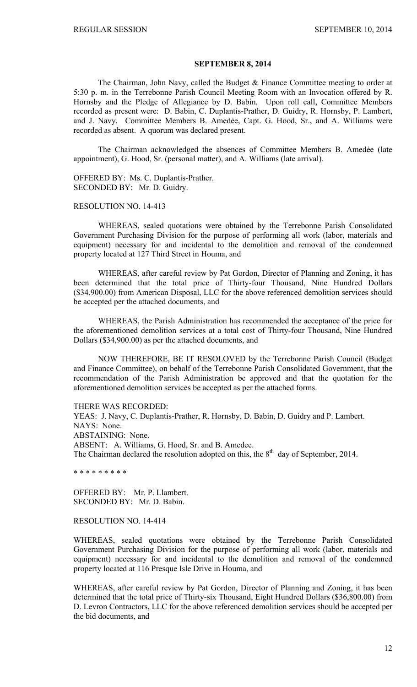## **SEPTEMBER 8, 2014**

 The Chairman, John Navy, called the Budget & Finance Committee meeting to order at 5:30 p. m. in the Terrebonne Parish Council Meeting Room with an Invocation offered by R. Hornsby and the Pledge of Allegiance by D. Babin. Upon roll call, Committee Members recorded as present were: D. Babin, C. Duplantis-Prather, D. Guidry, R. Hornsby, P. Lambert, and J. Navy. Committee Members B. Amedée, Capt. G. Hood, Sr., and A. Williams were recorded as absent. A quorum was declared present.

The Chairman acknowledged the absences of Committee Members B. Amedẻe (late appointment), G. Hood, Sr. (personal matter), and A. Williams (late arrival).

OFFERED BY: Ms. C. Duplantis-Prather. SECONDED BY: Mr. D. Guidry.

#### RESOLUTION NO. 14-413

WHEREAS, sealed quotations were obtained by the Terrebonne Parish Consolidated Government Purchasing Division for the purpose of performing all work (labor, materials and equipment) necessary for and incidental to the demolition and removal of the condemned property located at 127 Third Street in Houma, and

WHEREAS, after careful review by Pat Gordon, Director of Planning and Zoning, it has been determined that the total price of Thirty-four Thousand, Nine Hundred Dollars (\$34,900.00) from American Disposal, LLC for the above referenced demolition services should be accepted per the attached documents, and

WHEREAS, the Parish Administration has recommended the acceptance of the price for the aforementioned demolition services at a total cost of Thirty-four Thousand, Nine Hundred Dollars (\$34,900.00) as per the attached documents, and

 NOW THEREFORE, BE IT RESOLOVED by the Terrebonne Parish Council (Budget and Finance Committee), on behalf of the Terrebonne Parish Consolidated Government, that the recommendation of the Parish Administration be approved and that the quotation for the aforementioned demolition services be accepted as per the attached forms.

# THERE WAS RECORDED:

YEAS: J. Navy, C. Duplantis-Prather, R. Hornsby, D. Babin, D. Guidry and P. Lambert. NAYS: None. ABSTAINING: None.

ABSENT: A. Williams, G. Hood, Sr. and B. Amedee.

The Chairman declared the resolution adopted on this, the  $8<sup>th</sup>$  day of September, 2014.

\* \* \* \* \* \* \* \* \*

OFFERED BY: Mr. P. Llambert. SECONDED BY: Mr. D. Babin.

### RESOLUTION NO. 14-414

WHEREAS, sealed quotations were obtained by the Terrebonne Parish Consolidated Government Purchasing Division for the purpose of performing all work (labor, materials and equipment) necessary for and incidental to the demolition and removal of the condemned property located at 116 Presque Isle Drive in Houma, and

WHEREAS, after careful review by Pat Gordon, Director of Planning and Zoning, it has been determined that the total price of Thirty-six Thousand, Eight Hundred Dollars (\$36,800.00) from D. Levron Contractors, LLC for the above referenced demolition services should be accepted per the bid documents, and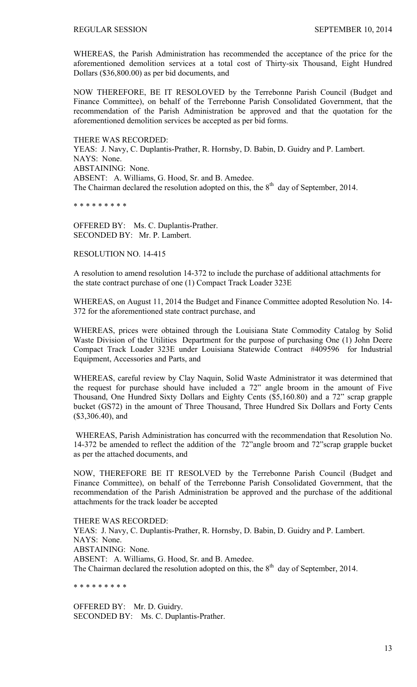WHEREAS, the Parish Administration has recommended the acceptance of the price for the aforementioned demolition services at a total cost of Thirty-six Thousand, Eight Hundred Dollars (\$36,800.00) as per bid documents, and

NOW THEREFORE, BE IT RESOLOVED by the Terrebonne Parish Council (Budget and Finance Committee), on behalf of the Terrebonne Parish Consolidated Government, that the recommendation of the Parish Administration be approved and that the quotation for the aforementioned demolition services be accepted as per bid forms.

THERE WAS RECORDED: YEAS: J. Navy, C. Duplantis-Prather, R. Hornsby, D. Babin, D. Guidry and P. Lambert. NAYS: None. ABSTAINING: None. ABSENT: A. Williams, G. Hood, Sr. and B. Amedee. The Chairman declared the resolution adopted on this, the  $8<sup>th</sup>$  day of September, 2014.

\* \* \* \* \* \* \* \* \*

OFFERED BY: Ms. C. Duplantis-Prather. SECONDED BY: Mr. P. Lambert.

RESOLUTION NO. 14-415

A resolution to amend resolution 14-372 to include the purchase of additional attachments for the state contract purchase of one (1) Compact Track Loader 323E

WHEREAS, on August 11, 2014 the Budget and Finance Committee adopted Resolution No. 14- 372 for the aforementioned state contract purchase, and

WHEREAS, prices were obtained through the Louisiana State Commodity Catalog by Solid Waste Division of the Utilities Department for the purpose of purchasing One (1) John Deere Compact Track Loader 323E under Louisiana Statewide Contract #409596 for Industrial Equipment, Accessories and Parts, and

WHEREAS, careful review by Clay Naquin, Solid Waste Administrator it was determined that the request for purchase should have included a 72" angle broom in the amount of Five Thousand, One Hundred Sixty Dollars and Eighty Cents (\$5,160.80) and a 72" scrap grapple bucket (GS72) in the amount of Three Thousand, Three Hundred Six Dollars and Forty Cents (\$3,306.40), and

WHEREAS, Parish Administration has concurred with the recommendation that Resolution No. 14-372 be amended to reflect the addition of the 72"angle broom and 72"scrap grapple bucket as per the attached documents, and

NOW, THEREFORE BE IT RESOLVED by the Terrebonne Parish Council (Budget and Finance Committee), on behalf of the Terrebonne Parish Consolidated Government, that the recommendation of the Parish Administration be approved and the purchase of the additional attachments for the track loader be accepted

THERE WAS RECORDED:

YEAS: J. Navy, C. Duplantis-Prather, R. Hornsby, D. Babin, D. Guidry and P. Lambert. NAYS: None. ABSTAINING: None. ABSENT: A. Williams, G. Hood, Sr. and B. Amedee. The Chairman declared the resolution adopted on this, the  $8<sup>th</sup>$  day of September, 2014.

\* \* \* \* \* \* \* \* \*

OFFERED BY: Mr. D. Guidry. SECONDED BY: Ms. C. Duplantis-Prather.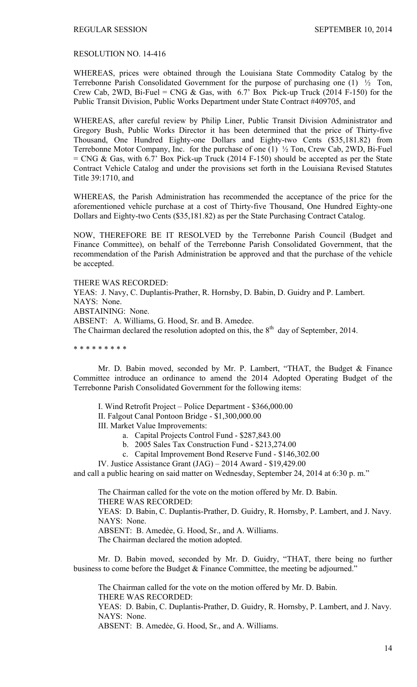### RESOLUTION NO. 14-416

WHEREAS, prices were obtained through the Louisiana State Commodity Catalog by the Terrebonne Parish Consolidated Government for the purpose of purchasing one (1) ½ Ton, Crew Cab, 2WD, Bi-Fuel = CNG & Gas, with  $6.7$ ' Box Pick-up Truck (2014 F-150) for the Public Transit Division, Public Works Department under State Contract #409705, and

WHEREAS, after careful review by Philip Liner, Public Transit Division Administrator and Gregory Bush, Public Works Director it has been determined that the price of Thirty-five Thousand, One Hundred Eighty-one Dollars and Eighty-two Cents (\$35,181.82) from Terrebonne Motor Company, Inc. for the purchase of one (1) ½ Ton, Crew Cab, 2WD, Bi-Fuel  $=$  CNG & Gas, with 6.7' Box Pick-up Truck (2014 F-150) should be accepted as per the State Contract Vehicle Catalog and under the provisions set forth in the Louisiana Revised Statutes Title 39:1710, and

WHEREAS, the Parish Administration has recommended the acceptance of the price for the aforementioned vehicle purchase at a cost of Thirty-five Thousand, One Hundred Eighty-one Dollars and Eighty-two Cents (\$35,181.82) as per the State Purchasing Contract Catalog.

NOW, THEREFORE BE IT RESOLVED by the Terrebonne Parish Council (Budget and Finance Committee), on behalf of the Terrebonne Parish Consolidated Government, that the recommendation of the Parish Administration be approved and that the purchase of the vehicle be accepted.

THERE WAS RECORDED:

YEAS: J. Navy, C. Duplantis-Prather, R. Hornsby, D. Babin, D. Guidry and P. Lambert. NAYS: None. ABSTAINING: None. ABSENT: A. Williams, G. Hood, Sr. and B. Amedee.

The Chairman declared the resolution adopted on this, the  $8<sup>th</sup>$  day of September, 2014.

\* \* \* \* \* \* \* \* \*

 Mr. D. Babin moved, seconded by Mr. P. Lambert, "THAT, the Budget & Finance Committee introduce an ordinance to amend the 2014 Adopted Operating Budget of the Terrebonne Parish Consolidated Government for the following items:

I. Wind Retrofit Project – Police Department - \$366,000.00

II. Falgout Canal Pontoon Bridge - \$1,300,000.00

III. Market Value Improvements:

- a. Capital Projects Control Fund \$287,843.00
- b. 2005 Sales Tax Construction Fund \$213,274.00
- c. Capital Improvement Bond Reserve Fund \$146,302.00
- IV. Justice Assistance Grant (JAG) 2014 Award \$19,429.00

and call a public hearing on said matter on Wednesday, September 24, 2014 at 6:30 p. m."

The Chairman called for the vote on the motion offered by Mr. D. Babin. THERE WAS RECORDED:

YEAS: D. Babin, C. Duplantis-Prather, D. Guidry, R. Hornsby, P. Lambert, and J. Navy. NAYS: None.

ABSENT: B. Amedée, G. Hood, Sr., and A. Williams.

The Chairman declared the motion adopted.

 Mr. D. Babin moved, seconded by Mr. D. Guidry, "THAT, there being no further business to come before the Budget & Finance Committee, the meeting be adjourned."

 The Chairman called for the vote on the motion offered by Mr. D. Babin. THERE WAS RECORDED: YEAS: D. Babin, C. Duplantis-Prather, D. Guidry, R. Hornsby, P. Lambert, and J. Navy. NAYS: None. ABSENT: B. Amedee, G. Hood, Sr., and A. Williams.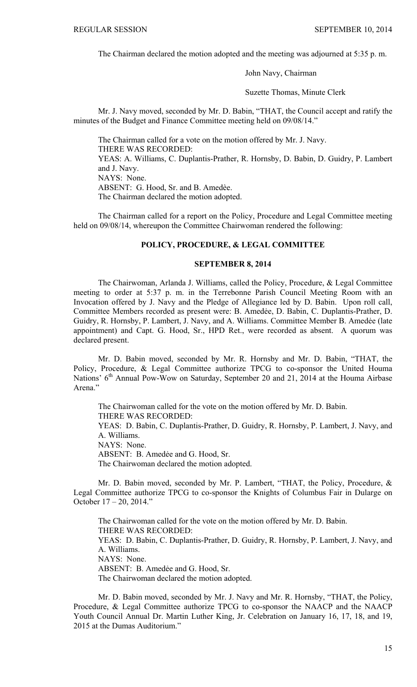The Chairman declared the motion adopted and the meeting was adjourned at 5:35 p. m.

John Navy, Chairman

Suzette Thomas, Minute Clerk

 Mr. J. Navy moved, seconded by Mr. D. Babin, "THAT, the Council accept and ratify the minutes of the Budget and Finance Committee meeting held on 09/08/14."

The Chairman called for a vote on the motion offered by Mr. J. Navy. THERE WAS RECORDED: YEAS: A. Williams, C. Duplantis-Prather, R. Hornsby, D. Babin, D. Guidry, P. Lambert and J. Navy. NAYS: None. ABSENT: G. Hood, Sr. and B. Amedèe. The Chairman declared the motion adopted.

 The Chairman called for a report on the Policy, Procedure and Legal Committee meeting held on 09/08/14, whereupon the Committee Chairwoman rendered the following:

### **POLICY, PROCEDURE, & LEGAL COMMITTEE**

### **SEPTEMBER 8, 2014**

 The Chairwoman, Arlanda J. Williams, called the Policy, Procedure, & Legal Committee meeting to order at 5:37 p. m. in the Terrebonne Parish Council Meeting Room with an Invocation offered by J. Navy and the Pledge of Allegiance led by D. Babin. Upon roll call, Committee Members recorded as present were: B. Amedẻe, D. Babin, C. Duplantis-Prather, D. Guidry, R. Hornsby, P. Lambert, J. Navy, and A. Williams. Committee Member B. Amedẻe (late appointment) and Capt. G. Hood, Sr., HPD Ret., were recorded as absent. A quorum was declared present.

 Mr. D. Babin moved, seconded by Mr. R. Hornsby and Mr. D. Babin, "THAT, the Policy, Procedure, & Legal Committee authorize TPCG to co-sponsor the United Houma Nations' 6<sup>th</sup> Annual Pow-Wow on Saturday, September 20 and 21, 2014 at the Houma Airbase Arena."

 The Chairwoman called for the vote on the motion offered by Mr. D. Babin. THERE WAS RECORDED: YEAS: D. Babin, C. Duplantis-Prather, D. Guidry, R. Hornsby, P. Lambert, J. Navy, and A. Williams. NAYS: None. ABSENT: B. Amedée and G. Hood, Sr. The Chairwoman declared the motion adopted.

 Mr. D. Babin moved, seconded by Mr. P. Lambert, "THAT, the Policy, Procedure, & Legal Committee authorize TPCG to co-sponsor the Knights of Columbus Fair in Dularge on October 17 – 20, 2014."

 The Chairwoman called for the vote on the motion offered by Mr. D. Babin. THERE WAS RECORDED: YEAS: D. Babin, C. Duplantis-Prather, D. Guidry, R. Hornsby, P. Lambert, J. Navy, and A. Williams. NAYS: None. ABSENT: B. Amedée and G. Hood, Sr. The Chairwoman declared the motion adopted.

 Mr. D. Babin moved, seconded by Mr. J. Navy and Mr. R. Hornsby, "THAT, the Policy, Procedure, & Legal Committee authorize TPCG to co-sponsor the NAACP and the NAACP Youth Council Annual Dr. Martin Luther King, Jr. Celebration on January 16, 17, 18, and 19, 2015 at the Dumas Auditorium."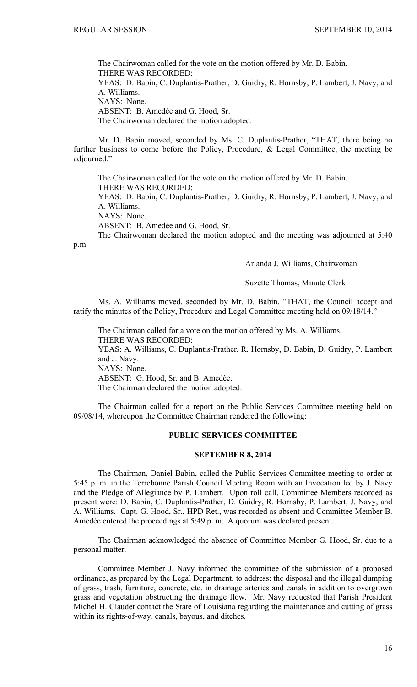The Chairwoman called for the vote on the motion offered by Mr. D. Babin. THERE WAS RECORDED: YEAS: D. Babin, C. Duplantis-Prather, D. Guidry, R. Hornsby, P. Lambert, J. Navy, and A. Williams. NAYS: None. ABSENT: B. Amedée and G. Hood, Sr. The Chairwoman declared the motion adopted.

 Mr. D. Babin moved, seconded by Ms. C. Duplantis-Prather, "THAT, there being no further business to come before the Policy, Procedure, & Legal Committee, the meeting be adjourned."

 The Chairwoman called for the vote on the motion offered by Mr. D. Babin. THERE WAS RECORDED:

YEAS: D. Babin, C. Duplantis-Prather, D. Guidry, R. Hornsby, P. Lambert, J. Navy, and A. Williams.

NAYS: None.

ABSENT: B. Amedėe and G. Hood, Sr.

 The Chairwoman declared the motion adopted and the meeting was adjourned at 5:40 p.m.

Arlanda J. Williams, Chairwoman

Suzette Thomas, Minute Clerk

 Ms. A. Williams moved, seconded by Mr. D. Babin, "THAT, the Council accept and ratify the minutes of the Policy, Procedure and Legal Committee meeting held on 09/18/14."

The Chairman called for a vote on the motion offered by Ms. A. Williams. THERE WAS RECORDED: YEAS: A. Williams, C. Duplantis-Prather, R. Hornsby, D. Babin, D. Guidry, P. Lambert and J. Navy. NAYS: None. ABSENT: G. Hood, Sr. and B. Amedèe. The Chairman declared the motion adopted.

 The Chairman called for a report on the Public Services Committee meeting held on 09/08/14, whereupon the Committee Chairman rendered the following:

# **PUBLIC SERVICES COMMITTEE**

## **SEPTEMBER 8, 2014**

 The Chairman, Daniel Babin, called the Public Services Committee meeting to order at 5:45 p. m. in the Terrebonne Parish Council Meeting Room with an Invocation led by J. Navy and the Pledge of Allegiance by P. Lambert. Upon roll call, Committee Members recorded as present were: D. Babin, C. Duplantis-Prather, D. Guidry, R. Hornsby, P. Lambert, J. Navy, and A. Williams. Capt. G. Hood, Sr., HPD Ret., was recorded as absent and Committee Member B. Amedée entered the proceedings at 5:49 p.m. A quorum was declared present.

The Chairman acknowledged the absence of Committee Member G. Hood, Sr. due to a personal matter.

 Committee Member J. Navy informed the committee of the submission of a proposed ordinance, as prepared by the Legal Department, to address: the disposal and the illegal dumping of grass, trash, furniture, concrete, etc. in drainage arteries and canals in addition to overgrown grass and vegetation obstructing the drainage flow. Mr. Navy requested that Parish President Michel H. Claudet contact the State of Louisiana regarding the maintenance and cutting of grass within its rights-of-way, canals, bayous, and ditches.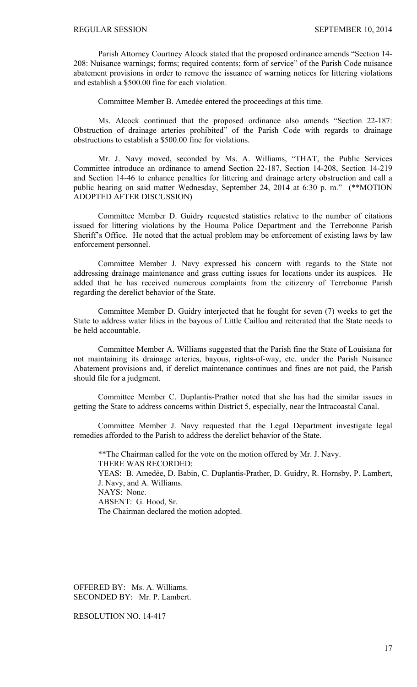Parish Attorney Courtney Alcock stated that the proposed ordinance amends "Section 14- 208: Nuisance warnings; forms; required contents; form of service" of the Parish Code nuisance abatement provisions in order to remove the issuance of warning notices for littering violations and establish a \$500.00 fine for each violation.

Committee Member B. Amedẻe entered the proceedings at this time.

 Ms. Alcock continued that the proposed ordinance also amends "Section 22-187: Obstruction of drainage arteries prohibited" of the Parish Code with regards to drainage obstructions to establish a \$500.00 fine for violations.

 Mr. J. Navy moved, seconded by Ms. A. Williams, "THAT, the Public Services Committee introduce an ordinance to amend Section 22-187, Section 14-208, Section 14-219 and Section 14-46 to enhance penalties for littering and drainage artery obstruction and call a public hearing on said matter Wednesday, September 24, 2014 at 6:30 p. m." (\*\*MOTION ADOPTED AFTER DISCUSSION)

 Committee Member D. Guidry requested statistics relative to the number of citations issued for littering violations by the Houma Police Department and the Terrebonne Parish Sheriff's Office. He noted that the actual problem may be enforcement of existing laws by law enforcement personnel.

 Committee Member J. Navy expressed his concern with regards to the State not addressing drainage maintenance and grass cutting issues for locations under its auspices. He added that he has received numerous complaints from the citizenry of Terrebonne Parish regarding the derelict behavior of the State.

 Committee Member D. Guidry interjected that he fought for seven (7) weeks to get the State to address water lilies in the bayous of Little Caillou and reiterated that the State needs to be held accountable.

 Committee Member A. Williams suggested that the Parish fine the State of Louisiana for not maintaining its drainage arteries, bayous, rights-of-way, etc. under the Parish Nuisance Abatement provisions and, if derelict maintenance continues and fines are not paid, the Parish should file for a judgment.

 Committee Member C. Duplantis-Prather noted that she has had the similar issues in getting the State to address concerns within District 5, especially, near the Intracoastal Canal.

 Committee Member J. Navy requested that the Legal Department investigate legal remedies afforded to the Parish to address the derelict behavior of the State.

 \*\*The Chairman called for the vote on the motion offered by Mr. J. Navy. THERE WAS RECORDED: YEAS: B. Amedẻe, D. Babin, C. Duplantis-Prather, D. Guidry, R. Hornsby, P. Lambert, J. Navy, and A. Williams. NAYS: None. ABSENT: G. Hood, Sr. The Chairman declared the motion adopted.

OFFERED BY: Ms. A. Williams. SECONDED BY: Mr. P. Lambert.

RESOLUTION NO. 14-417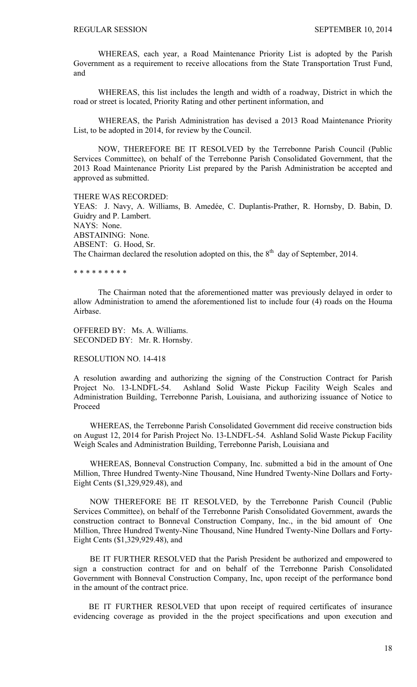WHEREAS, each year, a Road Maintenance Priority List is adopted by the Parish Government as a requirement to receive allocations from the State Transportation Trust Fund, and

WHEREAS, this list includes the length and width of a roadway, District in which the road or street is located, Priority Rating and other pertinent information, and

WHEREAS, the Parish Administration has devised a 2013 Road Maintenance Priority List, to be adopted in 2014, for review by the Council.

NOW, THEREFORE BE IT RESOLVED by the Terrebonne Parish Council (Public Services Committee), on behalf of the Terrebonne Parish Consolidated Government, that the 2013 Road Maintenance Priority List prepared by the Parish Administration be accepted and approved as submitted.

#### THERE WAS RECORDED:

YEAS: J. Navy, A. Williams, B. Amedée, C. Duplantis-Prather, R. Hornsby, D. Babin, D. Guidry and P. Lambert. NAYS: None. ABSTAINING: None. ABSENT: G. Hood, Sr. The Chairman declared the resolution adopted on this, the  $8<sup>th</sup>$  day of September, 2014.

\* \* \* \* \* \* \* \* \*

 The Chairman noted that the aforementioned matter was previously delayed in order to allow Administration to amend the aforementioned list to include four (4) roads on the Houma Airbase.

OFFERED BY: Ms. A. Williams. SECONDED BY: Mr. R. Hornsby.

### RESOLUTION NO. 14-418

A resolution awarding and authorizing the signing of the Construction Contract for Parish Project No. 13-LNDFL-54. Ashland Solid Waste Pickup Facility Weigh Scales and Administration Building, Terrebonne Parish, Louisiana, and authorizing issuance of Notice to Proceed

 WHEREAS, the Terrebonne Parish Consolidated Government did receive construction bids on August 12, 2014 for Parish Project No. 13-LNDFL-54. Ashland Solid Waste Pickup Facility Weigh Scales and Administration Building, Terrebonne Parish, Louisiana and

 WHEREAS, Bonneval Construction Company, Inc. submitted a bid in the amount of One Million, Three Hundred Twenty-Nine Thousand, Nine Hundred Twenty-Nine Dollars and Forty-Eight Cents (\$1,329,929.48), and

 NOW THEREFORE BE IT RESOLVED, by the Terrebonne Parish Council (Public Services Committee), on behalf of the Terrebonne Parish Consolidated Government, awards the construction contract to Bonneval Construction Company, Inc., in the bid amount of One Million, Three Hundred Twenty-Nine Thousand, Nine Hundred Twenty-Nine Dollars and Forty-Eight Cents (\$1,329,929.48), and

 BE IT FURTHER RESOLVED that the Parish President be authorized and empowered to sign a construction contract for and on behalf of the Terrebonne Parish Consolidated Government with Bonneval Construction Company, Inc, upon receipt of the performance bond in the amount of the contract price.

 BE IT FURTHER RESOLVED that upon receipt of required certificates of insurance evidencing coverage as provided in the the project specifications and upon execution and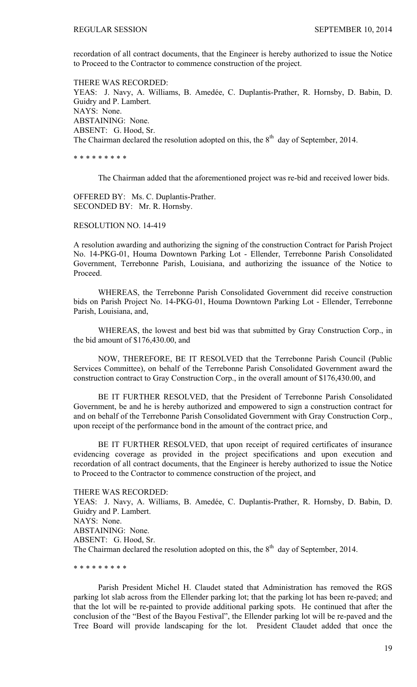recordation of all contract documents, that the Engineer is hereby authorized to issue the Notice to Proceed to the Contractor to commence construction of the project.

THERE WAS RECORDED: YEAS: J. Navy, A. Williams, B. Amedée, C. Duplantis-Prather, R. Hornsby, D. Babin, D. Guidry and P. Lambert. NAYS: None. ABSTAINING: None. ABSENT: G. Hood, Sr. The Chairman declared the resolution adopted on this, the  $8<sup>th</sup>$  day of September, 2014.

\* \* \* \* \* \* \* \* \*

The Chairman added that the aforementioned project was re-bid and received lower bids.

OFFERED BY: Ms. C. Duplantis-Prather. SECONDED BY: Mr. R. Hornsby.

RESOLUTION NO. 14-419

A resolution awarding and authorizing the signing of the construction Contract for Parish Project No. 14-PKG-01, Houma Downtown Parking Lot - Ellender, Terrebonne Parish Consolidated Government, Terrebonne Parish, Louisiana, and authorizing the issuance of the Notice to Proceed.

 WHEREAS, the Terrebonne Parish Consolidated Government did receive construction bids on Parish Project No. 14-PKG-01, Houma Downtown Parking Lot - Ellender, Terrebonne Parish, Louisiana, and,

WHEREAS, the lowest and best bid was that submitted by Gray Construction Corp., in the bid amount of \$176,430.00, and

NOW, THEREFORE, BE IT RESOLVED that the Terrebonne Parish Council (Public Services Committee), on behalf of the Terrebonne Parish Consolidated Government award the construction contract to Gray Construction Corp., in the overall amount of \$176,430.00, and

 BE IT FURTHER RESOLVED, that the President of Terrebonne Parish Consolidated Government, be and he is hereby authorized and empowered to sign a construction contract for and on behalf of the Terrebonne Parish Consolidated Government with Gray Construction Corp., upon receipt of the performance bond in the amount of the contract price, and

 BE IT FURTHER RESOLVED, that upon receipt of required certificates of insurance evidencing coverage as provided in the project specifications and upon execution and recordation of all contract documents, that the Engineer is hereby authorized to issue the Notice to Proceed to the Contractor to commence construction of the project, and

THERE WAS RECORDED:

YEAS: J. Navy, A. Williams, B. Amedée, C. Duplantis-Prather, R. Hornsby, D. Babin, D. Guidry and P. Lambert. NAYS: None. ABSTAINING: None. ABSENT: G. Hood, Sr. The Chairman declared the resolution adopted on this, the  $8<sup>th</sup>$  day of September, 2014.

\* \* \* \* \* \* \* \* \*

 Parish President Michel H. Claudet stated that Administration has removed the RGS parking lot slab across from the Ellender parking lot; that the parking lot has been re-paved; and that the lot will be re-painted to provide additional parking spots. He continued that after the conclusion of the "Best of the Bayou Festival", the Ellender parking lot will be re-paved and the Tree Board will provide landscaping for the lot. President Claudet added that once the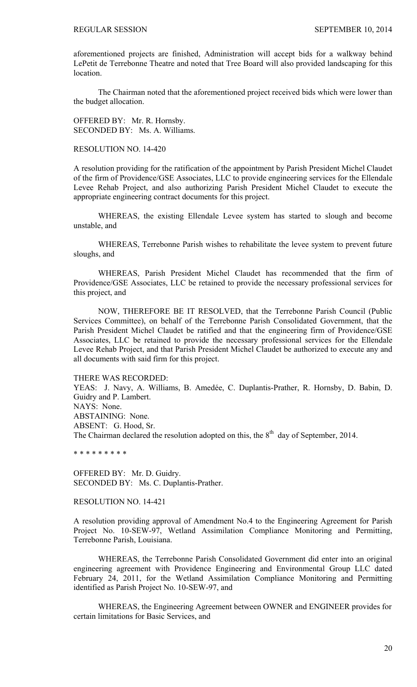aforementioned projects are finished, Administration will accept bids for a walkway behind LePetit de Terrebonne Theatre and noted that Tree Board will also provided landscaping for this location.

 The Chairman noted that the aforementioned project received bids which were lower than the budget allocation.

OFFERED BY: Mr. R. Hornsby. SECONDED BY: Ms. A. Williams.

### RESOLUTION NO. 14-420

A resolution providing for the ratification of the appointment by Parish President Michel Claudet of the firm of Providence/GSE Associates, LLC to provide engineering services for the Ellendale Levee Rehab Project, and also authorizing Parish President Michel Claudet to execute the appropriate engineering contract documents for this project.

 WHEREAS, the existing Ellendale Levee system has started to slough and become unstable, and

 WHEREAS, Terrebonne Parish wishes to rehabilitate the levee system to prevent future sloughs, and

 WHEREAS, Parish President Michel Claudet has recommended that the firm of Providence/GSE Associates, LLC be retained to provide the necessary professional services for this project, and

NOW, THEREFORE BE IT RESOLVED, that the Terrebonne Parish Council (Public Services Committee), on behalf of the Terrebonne Parish Consolidated Government, that the Parish President Michel Claudet be ratified and that the engineering firm of Providence/GSE Associates, LLC be retained to provide the necessary professional services for the Ellendale Levee Rehab Project, and that Parish President Michel Claudet be authorized to execute any and all documents with said firm for this project.

THERE WAS RECORDED:

YEAS: J. Navy, A. Williams, B. Amedée, C. Duplantis-Prather, R. Hornsby, D. Babin, D. Guidry and P. Lambert. NAYS: None. ABSTAINING: None. ABSENT: G. Hood, Sr. The Chairman declared the resolution adopted on this, the  $8<sup>th</sup>$  day of September, 2014.

\* \* \* \* \* \* \* \* \*

OFFERED BY: Mr. D. Guidry. SECONDED BY: Ms. C. Duplantis-Prather.

RESOLUTION NO. 14-421

A resolution providing approval of Amendment No.4 to the Engineering Agreement for Parish Project No. 10-SEW-97, Wetland Assimilation Compliance Monitoring and Permitting, Terrebonne Parish, Louisiana.

 WHEREAS, the Terrebonne Parish Consolidated Government did enter into an original engineering agreement with Providence Engineering and Environmental Group LLC dated February 24, 2011, for the Wetland Assimilation Compliance Monitoring and Permitting identified as Parish Project No. 10-SEW-97, and

WHEREAS, the Engineering Agreement between OWNER and ENGINEER provides for certain limitations for Basic Services, and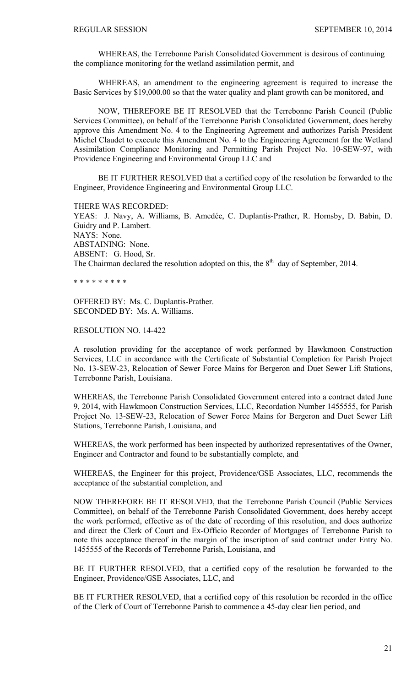WHEREAS, the Terrebonne Parish Consolidated Government is desirous of continuing the compliance monitoring for the wetland assimilation permit, and

WHEREAS, an amendment to the engineering agreement is required to increase the Basic Services by \$19,000.00 so that the water quality and plant growth can be monitored, and

NOW, THEREFORE BE IT RESOLVED that the Terrebonne Parish Council (Public Services Committee), on behalf of the Terrebonne Parish Consolidated Government, does hereby approve this Amendment No. 4 to the Engineering Agreement and authorizes Parish President Michel Claudet to execute this Amendment No. 4 to the Engineering Agreement for the Wetland Assimilation Compliance Monitoring and Permitting Parish Project No. 10-SEW-97, with Providence Engineering and Environmental Group LLC and

 BE IT FURTHER RESOLVED that a certified copy of the resolution be forwarded to the Engineer, Providence Engineering and Environmental Group LLC.

THERE WAS RECORDED:

YEAS: J. Navy, A. Williams, B. Amedée, C. Duplantis-Prather, R. Hornsby, D. Babin, D. Guidry and P. Lambert. NAYS: None. ABSTAINING: None. ABSENT: G. Hood, Sr. The Chairman declared the resolution adopted on this, the  $8<sup>th</sup>$  day of September, 2014.

\* \* \* \* \* \* \* \* \*

OFFERED BY: Ms. C. Duplantis-Prather. SECONDED BY: Ms. A. Williams.

# RESOLUTION NO. 14-422

A resolution providing for the acceptance of work performed by Hawkmoon Construction Services, LLC in accordance with the Certificate of Substantial Completion for Parish Project No. 13-SEW-23, Relocation of Sewer Force Mains for Bergeron and Duet Sewer Lift Stations, Terrebonne Parish, Louisiana.

WHEREAS, the Terrebonne Parish Consolidated Government entered into a contract dated June 9, 2014, with Hawkmoon Construction Services, LLC, Recordation Number 1455555, for Parish Project No. 13-SEW-23, Relocation of Sewer Force Mains for Bergeron and Duet Sewer Lift Stations, Terrebonne Parish, Louisiana, and

WHEREAS, the work performed has been inspected by authorized representatives of the Owner, Engineer and Contractor and found to be substantially complete, and

WHEREAS, the Engineer for this project, Providence/GSE Associates, LLC, recommends the acceptance of the substantial completion, and

NOW THEREFORE BE IT RESOLVED, that the Terrebonne Parish Council (Public Services Committee), on behalf of the Terrebonne Parish Consolidated Government, does hereby accept the work performed, effective as of the date of recording of this resolution, and does authorize and direct the Clerk of Court and Ex-Officio Recorder of Mortgages of Terrebonne Parish to note this acceptance thereof in the margin of the inscription of said contract under Entry No. 1455555 of the Records of Terrebonne Parish, Louisiana, and

BE IT FURTHER RESOLVED, that a certified copy of the resolution be forwarded to the Engineer, Providence/GSE Associates, LLC, and

BE IT FURTHER RESOLVED, that a certified copy of this resolution be recorded in the office of the Clerk of Court of Terrebonne Parish to commence a 45-day clear lien period, and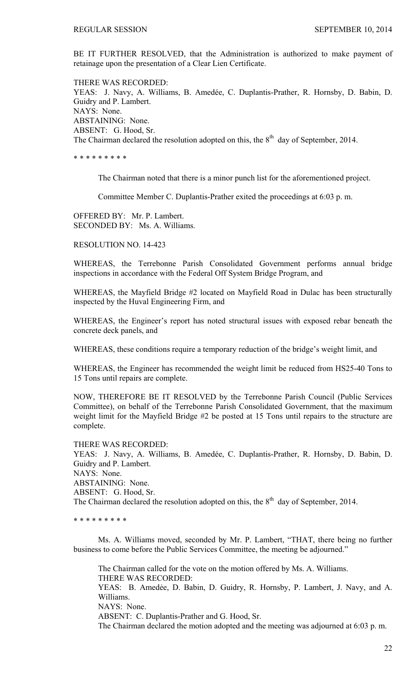BE IT FURTHER RESOLVED, that the Administration is authorized to make payment of retainage upon the presentation of a Clear Lien Certificate.

THERE WAS RECORDED: YEAS: J. Navy, A. Williams, B. Amedée, C. Duplantis-Prather, R. Hornsby, D. Babin, D. Guidry and P. Lambert. NAYS: None. ABSTAINING: None. ABSENT: G. Hood, Sr. The Chairman declared the resolution adopted on this, the  $8<sup>th</sup>$  day of September, 2014.

\* \* \* \* \* \* \* \* \*

The Chairman noted that there is a minor punch list for the aforementioned project.

Committee Member C. Duplantis-Prather exited the proceedings at 6:03 p. m.

OFFERED BY: Mr. P. Lambert. SECONDED BY: Ms. A. Williams.

RESOLUTION NO. 14-423

WHEREAS, the Terrebonne Parish Consolidated Government performs annual bridge inspections in accordance with the Federal Off System Bridge Program, and

WHEREAS, the Mayfield Bridge #2 located on Mayfield Road in Dulac has been structurally inspected by the Huval Engineering Firm, and

WHEREAS, the Engineer's report has noted structural issues with exposed rebar beneath the concrete deck panels, and

WHEREAS, these conditions require a temporary reduction of the bridge's weight limit, and

WHEREAS, the Engineer has recommended the weight limit be reduced from HS25-40 Tons to 15 Tons until repairs are complete.

NOW, THEREFORE BE IT RESOLVED by the Terrebonne Parish Council (Public Services Committee), on behalf of the Terrebonne Parish Consolidated Government, that the maximum weight limit for the Mayfield Bridge #2 be posted at 15 Tons until repairs to the structure are complete.

THERE WAS RECORDED: YEAS: J. Navy, A. Williams, B. Amedée, C. Duplantis-Prather, R. Hornsby, D. Babin, D. Guidry and P. Lambert. NAYS: None. ABSTAINING: None. ABSENT: G. Hood, Sr. The Chairman declared the resolution adopted on this, the  $8<sup>th</sup>$  day of September, 2014.

\* \* \* \* \* \* \* \* \*

 Ms. A. Williams moved, seconded by Mr. P. Lambert, "THAT, there being no further business to come before the Public Services Committee, the meeting be adjourned."

 The Chairman called for the vote on the motion offered by Ms. A. Williams. THERE WAS RECORDED: YEAS: B. Amedée, D. Babin, D. Guidry, R. Hornsby, P. Lambert, J. Navy, and A. Williams. NAYS: None. ABSENT: C. Duplantis-Prather and G. Hood, Sr. The Chairman declared the motion adopted and the meeting was adjourned at 6:03 p. m.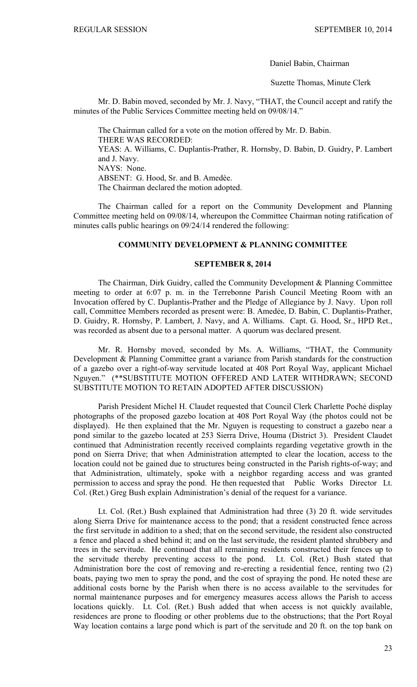Daniel Babin, Chairman

Suzette Thomas, Minute Clerk

 Mr. D. Babin moved, seconded by Mr. J. Navy, "THAT, the Council accept and ratify the minutes of the Public Services Committee meeting held on 09/08/14."

The Chairman called for a vote on the motion offered by Mr. D. Babin. THERE WAS RECORDED: YEAS: A. Williams, C. Duplantis-Prather, R. Hornsby, D. Babin, D. Guidry, P. Lambert and J. Navy. NAYS: None. ABSENT: G. Hood, Sr. and B. Amedèe. The Chairman declared the motion adopted.

 The Chairman called for a report on the Community Development and Planning Committee meeting held on 09/08/14, whereupon the Committee Chairman noting ratification of minutes calls public hearings on 09/24/14 rendered the following:

### **COMMUNITY DEVELOPMENT & PLANNING COMMITTEE**

### **SEPTEMBER 8, 2014**

 The Chairman, Dirk Guidry, called the Community Development & Planning Committee meeting to order at 6:07 p. m. in the Terrebonne Parish Council Meeting Room with an Invocation offered by C. Duplantis-Prather and the Pledge of Allegiance by J. Navy. Upon roll call, Committee Members recorded as present were: B. Amedẻe, D. Babin, C. Duplantis-Prather, D. Guidry, R. Hornsby, P. Lambert, J. Navy, and A. Williams. Capt. G. Hood, Sr., HPD Ret., was recorded as absent due to a personal matter. A quorum was declared present.

 Mr. R. Hornsby moved, seconded by Ms. A. Williams, "THAT, the Community Development & Planning Committee grant a variance from Parish standards for the construction of a gazebo over a right-of-way servitude located at 408 Port Royal Way, applicant Michael Nguyen." (\*\*SUBSTITUTE MOTION OFFERED AND LATER WITHDRAWN; SECOND SUBSTITUTE MOTION TO RETAIN ADOPTED AFTER DISCUSSION)

 Parish President Michel H. Claudet requested that Council Clerk Charlette Pochẻ display photographs of the proposed gazebo location at 408 Port Royal Way (the photos could not be displayed). He then explained that the Mr. Nguyen is requesting to construct a gazebo near a pond similar to the gazebo located at 253 Sierra Drive, Houma (District 3). President Claudet continued that Administration recently received complaints regarding vegetative growth in the pond on Sierra Drive; that when Administration attempted to clear the location, access to the location could not be gained due to structures being constructed in the Parish rights-of-way; and that Administration, ultimately, spoke with a neighbor regarding access and was granted permission to access and spray the pond. He then requested that Public Works Director Lt. Col. (Ret.) Greg Bush explain Administration's denial of the request for a variance.

 Lt. Col. (Ret.) Bush explained that Administration had three (3) 20 ft. wide servitudes along Sierra Drive for maintenance access to the pond; that a resident constructed fence across the first servitude in addition to a shed; that on the second servitude, the resident also constructed a fence and placed a shed behind it; and on the last servitude, the resident planted shrubbery and trees in the servitude. He continued that all remaining residents constructed their fences up to the servitude thereby preventing access to the pond. Lt. Col. (Ret.) Bush stated that Administration bore the cost of removing and re-erecting a residential fence, renting two (2) boats, paying two men to spray the pond, and the cost of spraying the pond. He noted these are additional costs borne by the Parish when there is no access available to the servitudes for normal maintenance purposes and for emergency measures access allows the Parish to access locations quickly. Lt. Col. (Ret.) Bush added that when access is not quickly available, residences are prone to flooding or other problems due to the obstructions; that the Port Royal Way location contains a large pond which is part of the servitude and 20 ft. on the top bank on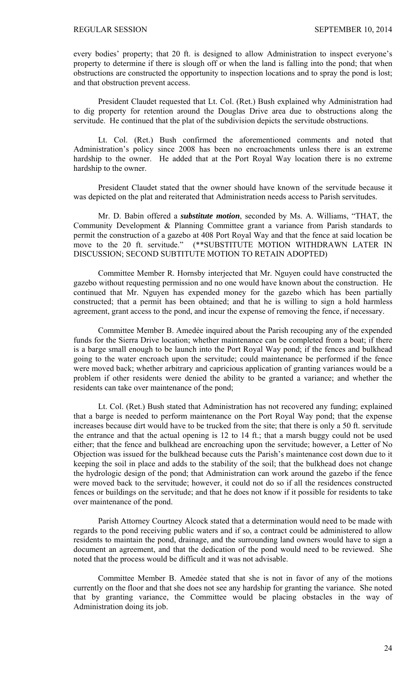every bodies' property; that 20 ft. is designed to allow Administration to inspect everyone's property to determine if there is slough off or when the land is falling into the pond; that when obstructions are constructed the opportunity to inspection locations and to spray the pond is lost; and that obstruction prevent access.

 President Claudet requested that Lt. Col. (Ret.) Bush explained why Administration had to dig property for retention around the Douglas Drive area due to obstructions along the servitude. He continued that the plat of the subdivision depicts the servitude obstructions.

 Lt. Col. (Ret.) Bush confirmed the aforementioned comments and noted that Administration's policy since 2008 has been no encroachments unless there is an extreme hardship to the owner. He added that at the Port Royal Way location there is no extreme hardship to the owner.

 President Claudet stated that the owner should have known of the servitude because it was depicted on the plat and reiterated that Administration needs access to Parish servitudes.

Mr. D. Babin offered a *substitute motion*, seconded by Ms. A. Williams, "THAT, the Community Development & Planning Committee grant a variance from Parish standards to permit the construction of a gazebo at 408 Port Royal Way and that the fence at said location be move to the 20 ft. servitude." (\*\*SUBSTITUTE MOTION WITHDRAWN LATER IN DISCUSSION; SECOND SUBTITUTE MOTION TO RETAIN ADOPTED)

Committee Member R. Hornsby interjected that Mr. Nguyen could have constructed the gazebo without requesting permission and no one would have known about the construction. He continued that Mr. Nguyen has expended money for the gazebo which has been partially constructed; that a permit has been obtained; and that he is willing to sign a hold harmless agreement, grant access to the pond, and incur the expense of removing the fence, if necessary.

 Committee Member B. Amedẻe inquired about the Parish recouping any of the expended funds for the Sierra Drive location; whether maintenance can be completed from a boat; if there is a barge small enough to be launch into the Port Royal Way pond; if the fences and bulkhead going to the water encroach upon the servitude; could maintenance be performed if the fence were moved back; whether arbitrary and capricious application of granting variances would be a problem if other residents were denied the ability to be granted a variance; and whether the residents can take over maintenance of the pond;

 Lt. Col. (Ret.) Bush stated that Administration has not recovered any funding; explained that a barge is needed to perform maintenance on the Port Royal Way pond; that the expense increases because dirt would have to be trucked from the site; that there is only a 50 ft. servitude the entrance and that the actual opening is 12 to 14 ft.; that a marsh buggy could not be used either; that the fence and bulkhead are encroaching upon the servitude; however, a Letter of No Objection was issued for the bulkhead because cuts the Parish's maintenance cost down due to it keeping the soil in place and adds to the stability of the soil; that the bulkhead does not change the hydrologic design of the pond; that Administration can work around the gazebo if the fence were moved back to the servitude; however, it could not do so if all the residences constructed fences or buildings on the servitude; and that he does not know if it possible for residents to take over maintenance of the pond.

 Parish Attorney Courtney Alcock stated that a determination would need to be made with regards to the pond receiving public waters and if so, a contract could be administered to allow residents to maintain the pond, drainage, and the surrounding land owners would have to sign a document an agreement, and that the dedication of the pond would need to be reviewed. She noted that the process would be difficult and it was not advisable.

 Committee Member B. Amedẻe stated that she is not in favor of any of the motions currently on the floor and that she does not see any hardship for granting the variance. She noted that by granting variance, the Committee would be placing obstacles in the way of Administration doing its job.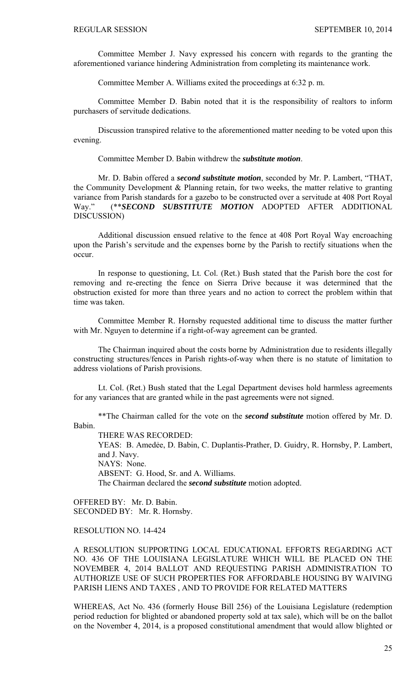Committee Member J. Navy expressed his concern with regards to the granting the aforementioned variance hindering Administration from completing its maintenance work.

Committee Member A. Williams exited the proceedings at 6:32 p. m.

Committee Member D. Babin noted that it is the responsibility of realtors to inform purchasers of servitude dedications.

Discussion transpired relative to the aforementioned matter needing to be voted upon this evening.

Committee Member D. Babin withdrew the *substitute motion*.

Mr. D. Babin offered a *second substitute motion*, seconded by Mr. P. Lambert, "THAT, the Community Development & Planning retain, for two weeks, the matter relative to granting variance from Parish standards for a gazebo to be constructed over a servitude at 408 Port Royal Way." (\*\**SECOND SUBSTITUTE MOTION* ADOPTED AFTER ADDITIONAL DISCUSSION)

Additional discussion ensued relative to the fence at 408 Port Royal Way encroaching upon the Parish's servitude and the expenses borne by the Parish to rectify situations when the occur.

In response to questioning, Lt. Col. (Ret.) Bush stated that the Parish bore the cost for removing and re-erecting the fence on Sierra Drive because it was determined that the obstruction existed for more than three years and no action to correct the problem within that time was taken.

Committee Member R. Hornsby requested additional time to discuss the matter further with Mr. Nguyen to determine if a right-of-way agreement can be granted.

The Chairman inquired about the costs borne by Administration due to residents illegally constructing structures/fences in Parish rights-of-way when there is no statute of limitation to address violations of Parish provisions.

Lt. Col. (Ret.) Bush stated that the Legal Department devises hold harmless agreements for any variances that are granted while in the past agreements were not signed.

\*\*The Chairman called for the vote on the *second substitute* motion offered by Mr. D. Babin.

THERE WAS RECORDED:

YEAS: B. Amedẻe, D. Babin, C. Duplantis-Prather, D. Guidry, R. Hornsby, P. Lambert, and J. Navy. NAYS: None. ABSENT: G. Hood, Sr. and A. Williams.

The Chairman declared the *second substitute* motion adopted.

OFFERED BY: Mr. D. Babin. SECONDED BY: Mr. R. Hornsby.

#### RESOLUTION NO. 14-424

A RESOLUTION SUPPORTING LOCAL EDUCATIONAL EFFORTS REGARDING ACT NO. 436 OF THE LOUISIANA LEGISLATURE WHICH WILL BE PLACED ON THE NOVEMBER 4, 2014 BALLOT AND REQUESTING PARISH ADMINISTRATION TO AUTHORIZE USE OF SUCH PROPERTIES FOR AFFORDABLE HOUSING BY WAIVING PARISH LIENS AND TAXES , AND TO PROVIDE FOR RELATED MATTERS

WHEREAS, Act No. 436 (formerly House Bill 256) of the Louisiana Legislature (redemption period reduction for blighted or abandoned property sold at tax sale), which will be on the ballot on the November 4, 2014, is a proposed constitutional amendment that would allow blighted or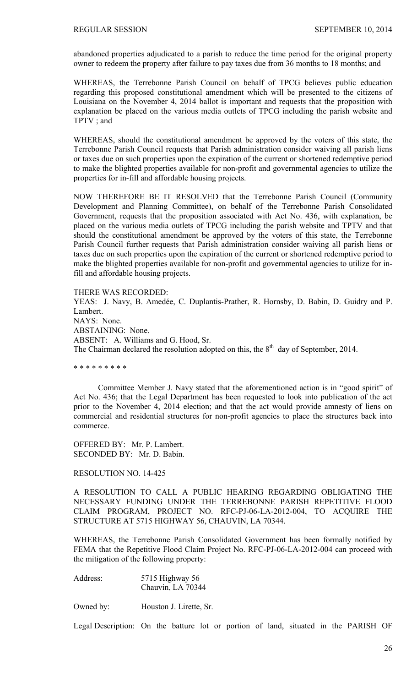abandoned properties adjudicated to a parish to reduce the time period for the original property owner to redeem the property after failure to pay taxes due from 36 months to 18 months; and

WHEREAS, the Terrebonne Parish Council on behalf of TPCG believes public education regarding this proposed constitutional amendment which will be presented to the citizens of Louisiana on the November 4, 2014 ballot is important and requests that the proposition with explanation be placed on the various media outlets of TPCG including the parish website and TPTV ; and

WHEREAS, should the constitutional amendment be approved by the voters of this state, the Terrebonne Parish Council requests that Parish administration consider waiving all parish liens or taxes due on such properties upon the expiration of the current or shortened redemptive period to make the blighted properties available for non-profit and governmental agencies to utilize the properties for in-fill and affordable housing projects.

NOW THEREFORE BE IT RESOLVED that the Terrebonne Parish Council (Community Development and Planning Committee), on behalf of the Terrebonne Parish Consolidated Government, requests that the proposition associated with Act No. 436, with explanation, be placed on the various media outlets of TPCG including the parish website and TPTV and that should the constitutional amendment be approved by the voters of this state, the Terrebonne Parish Council further requests that Parish administration consider waiving all parish liens or taxes due on such properties upon the expiration of the current or shortened redemptive period to make the blighted properties available for non-profit and governmental agencies to utilize for infill and affordable housing projects.

THERE WAS RECORDED:

YEAS: J. Navy, B. Amedée, C. Duplantis-Prather, R. Hornsby, D. Babin, D. Guidry and P. Lambert. NAYS: None. ABSTAINING: None. ABSENT: A. Williams and G. Hood, Sr. The Chairman declared the resolution adopted on this, the  $8<sup>th</sup>$  day of September, 2014.

\* \* \* \* \* \* \* \* \*

 Committee Member J. Navy stated that the aforementioned action is in "good spirit" of Act No. 436; that the Legal Department has been requested to look into publication of the act prior to the November 4, 2014 election; and that the act would provide amnesty of liens on commercial and residential structures for non-profit agencies to place the structures back into commerce.

OFFERED BY: Mr. P. Lambert. SECONDED BY: Mr. D. Babin.

RESOLUTION NO. 14-425

A RESOLUTION TO CALL A PUBLIC HEARING REGARDING OBLIGATING THE NECESSARY FUNDING UNDER THE TERREBONNE PARISH REPETITIVE FLOOD CLAIM PROGRAM, PROJECT NO. RFC-PJ-06-LA-2012-004, TO ACQUIRE THE STRUCTURE AT 5715 HIGHWAY 56, CHAUVIN, LA 70344.

WHEREAS, the Terrebonne Parish Consolidated Government has been formally notified by FEMA that the Repetitive Flood Claim Project No. RFC-PJ-06-LA-2012-004 can proceed with the mitigation of the following property:

Address: 5715 Highway 56 Chauvin, LA 70344

Owned by: Houston J. Lirette, Sr.

Legal Description: On the batture lot or portion of land, situated in the PARISH OF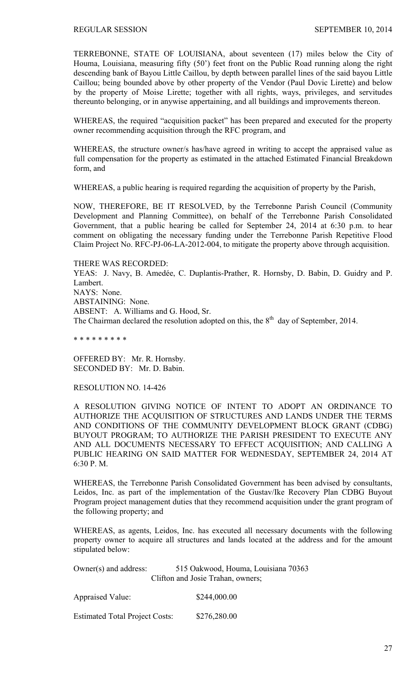TERREBONNE, STATE OF LOUISIANA, about seventeen (17) miles below the City of Houma, Louisiana, measuring fifty (50') feet front on the Public Road running along the right descending bank of Bayou Little Caillou, by depth between parallel lines of the said bayou Little Caillou; being bounded above by other property of the Vendor (Paul Dovic Lirette) and below by the property of Moise Lirette; together with all rights, ways, privileges, and servitudes thereunto belonging, or in anywise appertaining, and all buildings and improvements thereon.

WHEREAS, the required "acquisition packet" has been prepared and executed for the property owner recommending acquisition through the RFC program, and

WHEREAS, the structure owner/s has/have agreed in writing to accept the appraised value as full compensation for the property as estimated in the attached Estimated Financial Breakdown form, and

WHEREAS, a public hearing is required regarding the acquisition of property by the Parish,

NOW, THEREFORE, BE IT RESOLVED, by the Terrebonne Parish Council (Community Development and Planning Committee), on behalf of the Terrebonne Parish Consolidated Government, that a public hearing be called for September 24, 2014 at 6:30 p.m. to hear comment on obligating the necessary funding under the Terrebonne Parish Repetitive Flood Claim Project No. RFC-PJ-06-LA-2012-004, to mitigate the property above through acquisition.

THERE WAS RECORDED: YEAS: J. Navy, B. Amedée, C. Duplantis-Prather, R. Hornsby, D. Babin, D. Guidry and P. Lambert. NAYS: None. ABSTAINING: None. ABSENT: A. Williams and G. Hood, Sr. The Chairman declared the resolution adopted on this, the  $8<sup>th</sup>$  day of September, 2014.

\* \* \* \* \* \* \* \* \*

OFFERED BY: Mr. R. Hornsby. SECONDED BY: Mr. D. Babin.

RESOLUTION NO. 14-426

A RESOLUTION GIVING NOTICE OF INTENT TO ADOPT AN ORDINANCE TO AUTHORIZE THE ACQUISITION OF STRUCTURES AND LANDS UNDER THE TERMS AND CONDITIONS OF THE COMMUNITY DEVELOPMENT BLOCK GRANT (CDBG) BUYOUT PROGRAM; TO AUTHORIZE THE PARISH PRESIDENT TO EXECUTE ANY AND ALL DOCUMENTS NECESSARY TO EFFECT ACQUISITION; AND CALLING A PUBLIC HEARING ON SAID MATTER FOR WEDNESDAY, SEPTEMBER 24, 2014 AT 6:30 P. M.

WHEREAS, the Terrebonne Parish Consolidated Government has been advised by consultants, Leidos, Inc. as part of the implementation of the Gustav/Ike Recovery Plan CDBG Buyout Program project management duties that they recommend acquisition under the grant program of the following property; and

WHEREAS, as agents, Leidos, Inc. has executed all necessary documents with the following property owner to acquire all structures and lands located at the address and for the amount stipulated below:

| Owner( $s$ ) and address: | 515 Oakwood, Houma, Louisiana 70363 |
|---------------------------|-------------------------------------|
|                           | Clifton and Josie Trahan, owners;   |

| <b>Appraised Value:</b>               | \$244,000.00 |
|---------------------------------------|--------------|
| <b>Estimated Total Project Costs:</b> | \$276,280.00 |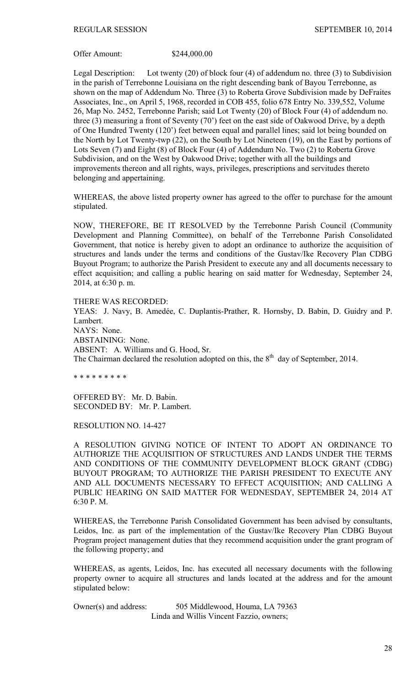Offer Amount: \$244,000.00

Legal Description: Lot twenty (20) of block four (4) of addendum no. three (3) to Subdivision in the parish of Terrebonne Louisiana on the right descending bank of Bayou Terrebonne, as shown on the map of Addendum No. Three (3) to Roberta Grove Subdivision made by DeFraites Associates, Inc., on April 5, 1968, recorded in COB 455, folio 678 Entry No. 339,552, Volume 26, Map No. 2452, Terrebonne Parish; said Lot Twenty (20) of Block Four (4) of addendum no. three (3) measuring a front of Seventy (70') feet on the east side of Oakwood Drive, by a depth of One Hundred Twenty (120') feet between equal and parallel lines; said lot being bounded on the North by Lot Twenty-twp (22), on the South by Lot Nineteen (19), on the East by portions of Lots Seven (7) and Eight (8) of Block Four (4) of Addendum No. Two (2) to Roberta Grove Subdivision, and on the West by Oakwood Drive; together with all the buildings and improvements thereon and all rights, ways, privileges, prescriptions and servitudes thereto belonging and appertaining.

WHEREAS, the above listed property owner has agreed to the offer to purchase for the amount stipulated.

NOW, THEREFORE, BE IT RESOLVED by the Terrebonne Parish Council (Community Development and Planning Committee), on behalf of the Terrebonne Parish Consolidated Government, that notice is hereby given to adopt an ordinance to authorize the acquisition of structures and lands under the terms and conditions of the Gustav/Ike Recovery Plan CDBG Buyout Program; to authorize the Parish President to execute any and all documents necessary to effect acquisition; and calling a public hearing on said matter for Wednesday, September 24, 2014, at 6:30 p. m.

THERE WAS RECORDED: YEAS: J. Navy, B. Amedée, C. Duplantis-Prather, R. Hornsby, D. Babin, D. Guidry and P. Lambert. NAYS: None. ABSTAINING: None. ABSENT: A. Williams and G. Hood, Sr. The Chairman declared the resolution adopted on this, the  $8<sup>th</sup>$  day of September, 2014.

\* \* \* \* \* \* \* \* \*

OFFERED BY: Mr. D. Babin. SECONDED BY: Mr. P. Lambert.

RESOLUTION NO. 14-427

A RESOLUTION GIVING NOTICE OF INTENT TO ADOPT AN ORDINANCE TO AUTHORIZE THE ACQUISITION OF STRUCTURES AND LANDS UNDER THE TERMS AND CONDITIONS OF THE COMMUNITY DEVELOPMENT BLOCK GRANT (CDBG) BUYOUT PROGRAM; TO AUTHORIZE THE PARISH PRESIDENT TO EXECUTE ANY AND ALL DOCUMENTS NECESSARY TO EFFECT ACQUISITION; AND CALLING A PUBLIC HEARING ON SAID MATTER FOR WEDNESDAY, SEPTEMBER 24, 2014 AT 6:30 P. M.

WHEREAS, the Terrebonne Parish Consolidated Government has been advised by consultants, Leidos, Inc. as part of the implementation of the Gustav/Ike Recovery Plan CDBG Buyout Program project management duties that they recommend acquisition under the grant program of the following property; and

WHEREAS, as agents, Leidos, Inc. has executed all necessary documents with the following property owner to acquire all structures and lands located at the address and for the amount stipulated below:

Owner(s) and address: 505 Middlewood, Houma, LA 79363 Linda and Willis Vincent Fazzio, owners;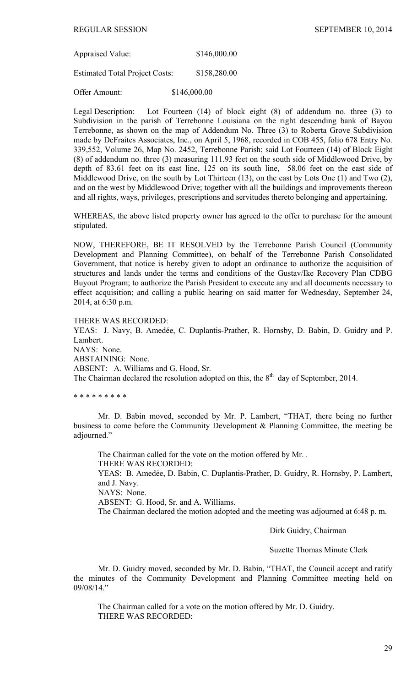Appraised Value: \$146,000.00

Estimated Total Project Costs: \$158,280.00

Offer Amount: \$146,000.00

Legal Description: Lot Fourteen (14) of block eight (8) of addendum no. three (3) to Subdivision in the parish of Terrebonne Louisiana on the right descending bank of Bayou Terrebonne, as shown on the map of Addendum No. Three (3) to Roberta Grove Subdivision made by DeFraites Associates, Inc., on April 5, 1968, recorded in COB 455, folio 678 Entry No. 339,552, Volume 26, Map No. 2452, Terrebonne Parish; said Lot Fourteen (14) of Block Eight (8) of addendum no. three (3) measuring 111.93 feet on the south side of Middlewood Drive, by depth of 83.61 feet on its east line, 125 on its south line, 58.06 feet on the east side of Middlewood Drive, on the south by Lot Thirteen (13), on the east by Lots One (1) and Two (2), and on the west by Middlewood Drive; together with all the buildings and improvements thereon and all rights, ways, privileges, prescriptions and servitudes thereto belonging and appertaining.

WHEREAS, the above listed property owner has agreed to the offer to purchase for the amount stipulated.

NOW, THEREFORE, BE IT RESOLVED by the Terrebonne Parish Council (Community Development and Planning Committee), on behalf of the Terrebonne Parish Consolidated Government, that notice is hereby given to adopt an ordinance to authorize the acquisition of structures and lands under the terms and conditions of the Gustav/Ike Recovery Plan CDBG Buyout Program; to authorize the Parish President to execute any and all documents necessary to effect acquisition; and calling a public hearing on said matter for Wednesday, September 24, 2014, at 6:30 p.m.

THERE WAS RECORDED:

YEAS: J. Navy, B. Amedée, C. Duplantis-Prather, R. Hornsby, D. Babin, D. Guidry and P. Lambert. NAYS: None. ABSTAINING: None.

ABSENT: A. Williams and G. Hood, Sr.

The Chairman declared the resolution adopted on this, the  $8<sup>th</sup>$  day of September, 2014.

\* \* \* \* \* \* \* \* \*

 Mr. D. Babin moved, seconded by Mr. P. Lambert, "THAT, there being no further business to come before the Community Development & Planning Committee, the meeting be adjourned."

 The Chairman called for the vote on the motion offered by Mr. . THERE WAS RECORDED: YEAS: B. Amedẻe, D. Babin, C. Duplantis-Prather, D. Guidry, R. Hornsby, P. Lambert, and J. Navy. NAYS: None. ABSENT: G. Hood, Sr. and A. Williams. The Chairman declared the motion adopted and the meeting was adjourned at 6:48 p. m.

Dirk Guidry, Chairman

Suzette Thomas Minute Clerk

 Mr. D. Guidry moved, seconded by Mr. D. Babin, "THAT, the Council accept and ratify the minutes of the Community Development and Planning Committee meeting held on 09/08/14."

The Chairman called for a vote on the motion offered by Mr. D. Guidry. THERE WAS RECORDED: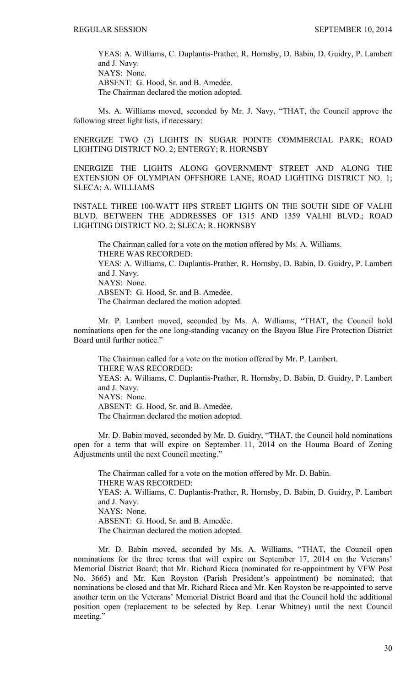YEAS: A. Williams, C. Duplantis-Prather, R. Hornsby, D. Babin, D. Guidry, P. Lambert and J. Navy. NAYS: None. ABSENT: G. Hood, Sr. and B. Amedèe. The Chairman declared the motion adopted.

 Ms. A. Williams moved, seconded by Mr. J. Navy, "THAT, the Council approve the following street light lists, if necessary:

ENERGIZE TWO (2) LIGHTS IN SUGAR POINTE COMMERCIAL PARK; ROAD LIGHTING DISTRICT NO. 2; ENTERGY; R. HORNSBY

ENERGIZE THE LIGHTS ALONG GOVERNMENT STREET AND ALONG THE EXTENSION OF OLYMPIAN OFFSHORE LANE; ROAD LIGHTING DISTRICT NO. 1; SLECA; A. WILLIAMS

INSTALL THREE 100-WATT HPS STREET LIGHTS ON THE SOUTH SIDE OF VALHI BLVD. BETWEEN THE ADDRESSES OF 1315 AND 1359 VALHI BLVD.; ROAD LIGHTING DISTRICT NO. 2; SLECA; R. HORNSBY

The Chairman called for a vote on the motion offered by Ms. A. Williams. THERE WAS RECORDED: YEAS: A. Williams, C. Duplantis-Prather, R. Hornsby, D. Babin, D. Guidry, P. Lambert and J. Navy. NAYS: None. ABSENT: G. Hood, Sr. and B. Amedèe. The Chairman declared the motion adopted.

 Mr. P. Lambert moved, seconded by Ms. A. Williams, "THAT, the Council hold nominations open for the one long-standing vacancy on the Bayou Blue Fire Protection District Board until further notice."

The Chairman called for a vote on the motion offered by Mr. P. Lambert. THERE WAS RECORDED: YEAS: A. Williams, C. Duplantis-Prather, R. Hornsby, D. Babin, D. Guidry, P. Lambert and J. Navy. NAYS: None. ABSENT: G. Hood, Sr. and B. Amedèe. The Chairman declared the motion adopted.

 Mr. D. Babin moved, seconded by Mr. D. Guidry, "THAT, the Council hold nominations open for a term that will expire on September 11, 2014 on the Houma Board of Zoning Adjustments until the next Council meeting."

The Chairman called for a vote on the motion offered by Mr. D. Babin. THERE WAS RECORDED: YEAS: A. Williams, C. Duplantis-Prather, R. Hornsby, D. Babin, D. Guidry, P. Lambert and J. Navy. NAYS: None. ABSENT: G. Hood, Sr. and B. Amedèe. The Chairman declared the motion adopted.

 Mr. D. Babin moved, seconded by Ms. A. Williams, "THAT, the Council open nominations for the three terms that will expire on September 17, 2014 on the Veterans' Memorial District Board; that Mr. Richard Ricca (nominated for re-appointment by VFW Post No. 3665) and Mr. Ken Royston (Parish President's appointment) be nominated; that nominations be closed and that Mr. Richard Ricca and Mr. Ken Royston be re-appointed to serve another term on the Veterans' Memorial District Board and that the Council hold the additional position open (replacement to be selected by Rep. Lenar Whitney) until the next Council meeting."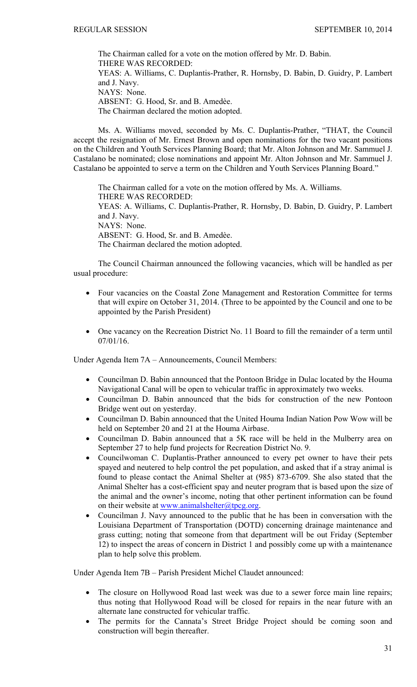The Chairman called for a vote on the motion offered by Mr. D. Babin. THERE WAS RECORDED: YEAS: A. Williams, C. Duplantis-Prather, R. Hornsby, D. Babin, D. Guidry, P. Lambert and J. Navy. NAYS: None. ABSENT: G. Hood, Sr. and B. Amedèe. The Chairman declared the motion adopted.

 Ms. A. Williams moved, seconded by Ms. C. Duplantis-Prather, "THAT, the Council accept the resignation of Mr. Ernest Brown and open nominations for the two vacant positions on the Children and Youth Services Planning Board; that Mr. Alton Johnson and Mr. Sammuel J. Castalano be nominated; close nominations and appoint Mr. Alton Johnson and Mr. Sammuel J. Castalano be appointed to serve a term on the Children and Youth Services Planning Board."

The Chairman called for a vote on the motion offered by Ms. A. Williams. THERE WAS RECORDED: YEAS: A. Williams, C. Duplantis-Prather, R. Hornsby, D. Babin, D. Guidry, P. Lambert and J. Navy. NAYS: None. ABSENT: G. Hood, Sr. and B. Amedèe. The Chairman declared the motion adopted.

 The Council Chairman announced the following vacancies, which will be handled as per usual procedure:

- Four vacancies on the Coastal Zone Management and Restoration Committee for terms that will expire on October 31, 2014. (Three to be appointed by the Council and one to be appointed by the Parish President)
- One vacancy on the Recreation District No. 11 Board to fill the remainder of a term until 07/01/16.

Under Agenda Item 7A – Announcements, Council Members:

- Councilman D. Babin announced that the Pontoon Bridge in Dulac located by the Houma Navigational Canal will be open to vehicular traffic in approximately two weeks.
- Councilman D. Babin announced that the bids for construction of the new Pontoon Bridge went out on yesterday.
- Councilman D. Babin announced that the United Houma Indian Nation Pow Wow will be held on September 20 and 21 at the Houma Airbase.
- Councilman D. Babin announced that a 5K race will be held in the Mulberry area on September 27 to help fund projects for Recreation District No. 9.
- Councilwoman C. Duplantis-Prather announced to every pet owner to have their pets spayed and neutered to help control the pet population, and asked that if a stray animal is found to please contact the Animal Shelter at (985) 873-6709. She also stated that the Animal Shelter has a cost-efficient spay and neuter program that is based upon the size of the animal and the owner's income, noting that other pertinent information can be found on their website at [www.animalshelter@tpcg.org.](http://www.animalshelter@tpcg.org/)
- Councilman J. Navy announced to the public that he has been in conversation with the Louisiana Department of Transportation (DOTD) concerning drainage maintenance and grass cutting; noting that someone from that department will be out Friday (September 12) to inspect the areas of concern in District 1 and possibly come up with a maintenance plan to help solve this problem.

Under Agenda Item 7B – Parish President Michel Claudet announced:

- The closure on Hollywood Road last week was due to a sewer force main line repairs; thus noting that Hollywood Road will be closed for repairs in the near future with an alternate lane constructed for vehicular traffic.
- The permits for the Cannata's Street Bridge Project should be coming soon and construction will begin thereafter.